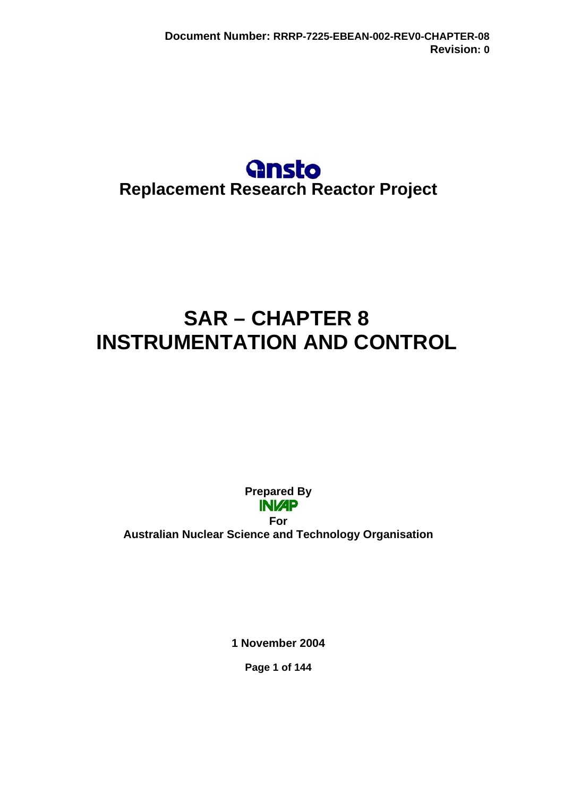## **Gnsto Replacement Research Reactor Project**

# **SAR – CHAPTER 8 INSTRUMENTATION AND CONTROL**

**Prepared By INVAP For Australian Nuclear Science and Technology Organisation** 

**1 November 2004** 

**Page 1 of 144**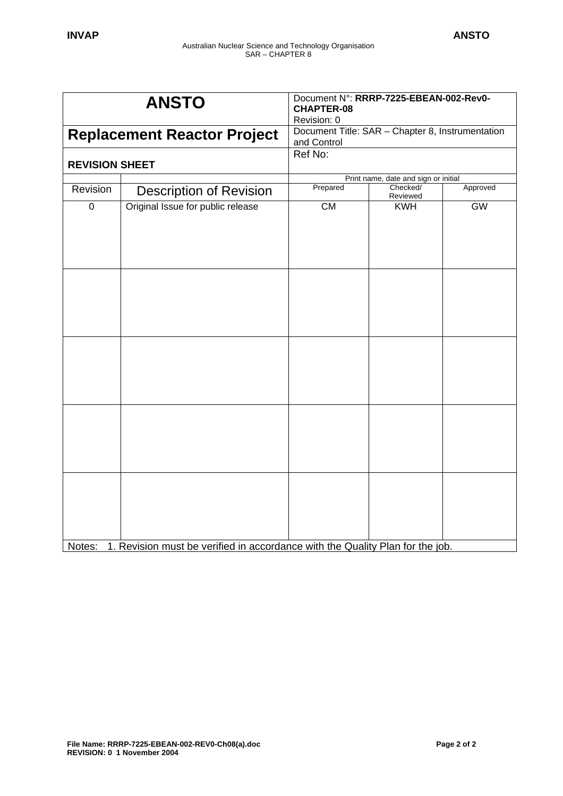| <b>ANSTO</b>          |                                                                               | Document N°: RRRP-7225-EBEAN-002-Rev0-<br><b>CHAPTER-08</b><br>Revision: 0 |                                      |          |
|-----------------------|-------------------------------------------------------------------------------|----------------------------------------------------------------------------|--------------------------------------|----------|
|                       | <b>Replacement Reactor Project</b>                                            | Document Title: SAR - Chapter 8, Instrumentation<br>and Control            |                                      |          |
| <b>REVISION SHEET</b> |                                                                               | Ref No:                                                                    |                                      |          |
|                       |                                                                               |                                                                            | Print name, date and sign or initial |          |
| Revision              | <b>Description of Revision</b>                                                | Prepared                                                                   | Checked/<br>Reviewed                 | Approved |
| $\overline{0}$        | Original Issue for public release                                             | $\overline{\text{CM}}$                                                     | <b>KWH</b>                           | GW       |
|                       |                                                                               |                                                                            |                                      |          |
|                       |                                                                               |                                                                            |                                      |          |
|                       |                                                                               |                                                                            |                                      |          |
| Notes:                | 1. Revision must be verified in accordance with the Quality Plan for the job. |                                                                            |                                      |          |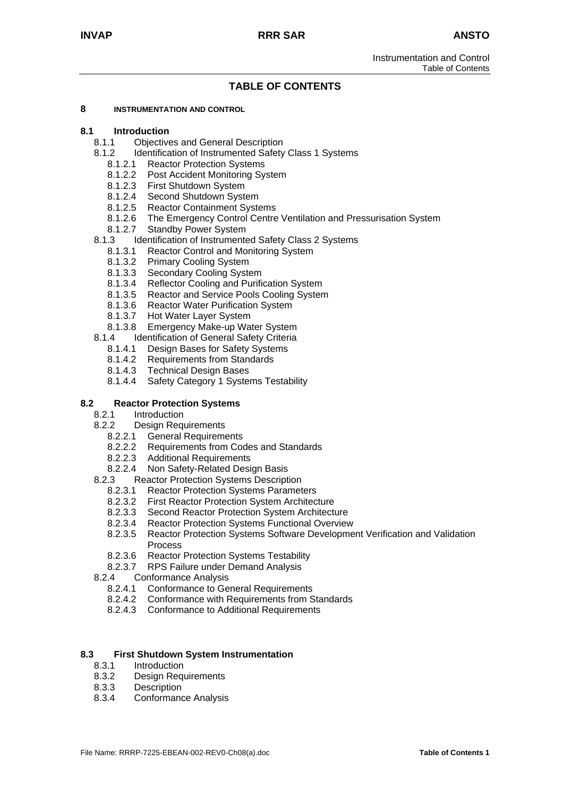Instrumentation and Control Table of Contents

## **TABLE OF CONTENTS**

#### **8 INSTRUMENTATION AND CONTROL**

## **8.1 Introduction**

- **Objectives and General Description**
- 8.1.2 Identification of Instrumented Safety Class 1 Systems
	- 8.1.2.1 Reactor Protection Systems
	- 8.1.2.2 Post Accident Monitoring System
	- 8.1.2.3 First Shutdown System
	- 8.1.2.4 Second Shutdown System
	- 8.1.2.5 Reactor Containment Systems
	- 8.1.2.6 The Emergency Control Centre Ventilation and Pressurisation System 8.1.2.7 Standby Power System
	- **Standby Power System**
- 8.1.3 Identification of Instrumented Safety Class 2 Systems
	- 8.1.3.1 Reactor Control and Monitoring System
	- 8.1.3.2 Primary Cooling System
	- 8.1.3.3 Secondary Cooling System
	- 8.1.3.4 Reflector Cooling and Purification System
	- 8.1.3.5 Reactor and Service Pools Cooling System
	- 8.1.3.6 Reactor Water Purification System
	- 8.1.3.7 Hot Water Layer System
	- 8.1.3.8 Emergency Make-up Water System
- 8.1.4 Identification of General Safety Criteria
	- 8.1.4.1 Design Bases for Safety Systems<br>8.1.4.2 Requirements from Standards
	- Requirements from Standards
	- 8.1.4.3 Technical Design Bases
	- 8.1.4.4 Safety Category 1 Systems Testability

#### **8.2 Reactor Protection Systems**

- 8.2.1 Introduction
- 8.2.2 Design Requirements
	- 8.2.2.1 General Requirements
	- 8.2.2.2 Requirements from Codes and Standards
	- 8.2.2.3 Additional Requirements
	- 8.2.2.4 Non Safety-Related Design Basis
- 8.2.3 Reactor Protection Systems Description
	- 8.2.3.1 Reactor Protection Systems Parameters
	- 8.2.3.2 First Reactor Protection System Architecture
	- 8.2.3.3 Second Reactor Protection System Architecture
	- 8.2.3.4 Reactor Protection Systems Functional Overview
	- 8.2.3.5 Reactor Protection Systems Software Development Verification and Validation Process
	- 8.2.3.6 Reactor Protection Systems Testability
	- 8.2.3.7 RPS Failure under Demand Analysis
- 8.2.4 Conformance Analysis
	- 8.2.4.1 Conformance to General Requirements
	- 8.2.4.2 Conformance with Requirements from Standards
	- 8.2.4.3 Conformance to Additional Requirements

#### **8.3 First Shutdown System Instrumentation**

- 8.3.1 Introduction
- 8.3.2 Design Requirements
- 8.3.3 Description
- 8.3.4 Conformance Analysis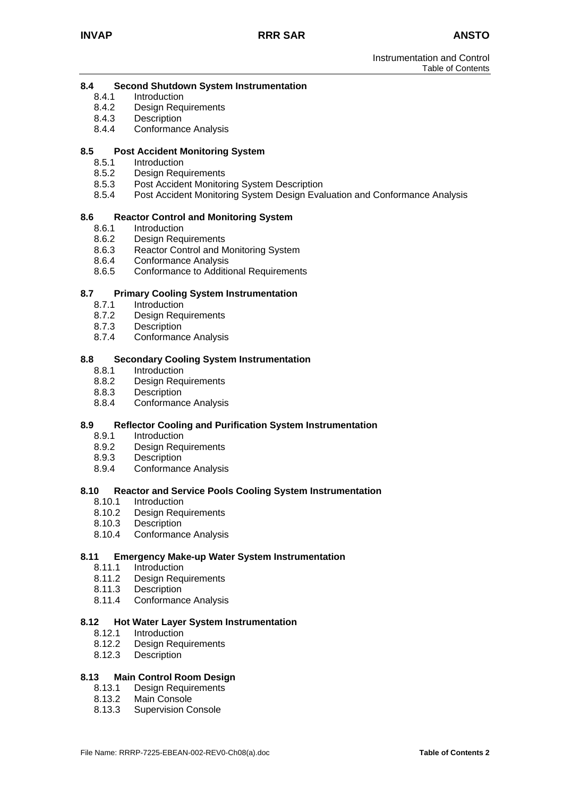#### **8.4 Second Shutdown System Instrumentation**

- 8.4.1 Introduction 8.4.2 Design Requirements
- 8.4.3 Description
- 8.4.4 Conformance Analysis

#### **8.5 Post Accident Monitoring System**

- 8.5.1 Introduction
- 8.5.2 Design Requirements
- 8.5.3 Post Accident Monitoring System Description
- 8.5.4 Post Accident Monitoring System Design Evaluation and Conformance Analysis

#### **8.6 Reactor Control and Monitoring System**

- 8.6.1 Introduction
- 8.6.2 Design Requirements
- 8.6.3 Reactor Control and Monitoring System
- 8.6.4 Conformance Analysis
- 8.6.5 Conformance to Additional Requirements

#### **8.7 Primary Cooling System Instrumentation**

- 8.7.1 Introduction
- 8.7.2 Design Requirements
- 8.7.3 Description
- 8.7.4 Conformance Analysis

#### **8.8 Secondary Cooling System Instrumentation**

- 8.8.1 Introduction
- 8.8.2 Design Requirements
- 8.8.3 Description
- 8.8.4 Conformance Analysis

## **8.9 Reflector Cooling and Purification System Instrumentation**

- **Introduction**
- 8.9.2 Design Requirements
- 8.9.3 Description
- 8.9.4 Conformance Analysis

#### **8.10 Reactor and Service Pools Cooling System Instrumentation**

- 8.10.1 Introduction
- 8.10.2 Design Requirements
- 8.10.3 Description
- 8.10.4 Conformance Analysis

#### **8.11 Emergency Make-up Water System Instrumentation**

- 8.11.1 Introduction
- 8.11.2 Design Requirements
- 8.11.3 Description
- 8.11.4 Conformance Analysis

#### **8.12 Hot Water Layer System Instrumentation**

- 8.12.1 Introduction
- 8.12.2 Design Requirements
- 8.12.3 Description

#### **8.13 Main Control Room Design**

- 8.13.1 Design Requirements
- 8.13.2 Main Console
- 8.13.3 Supervision Console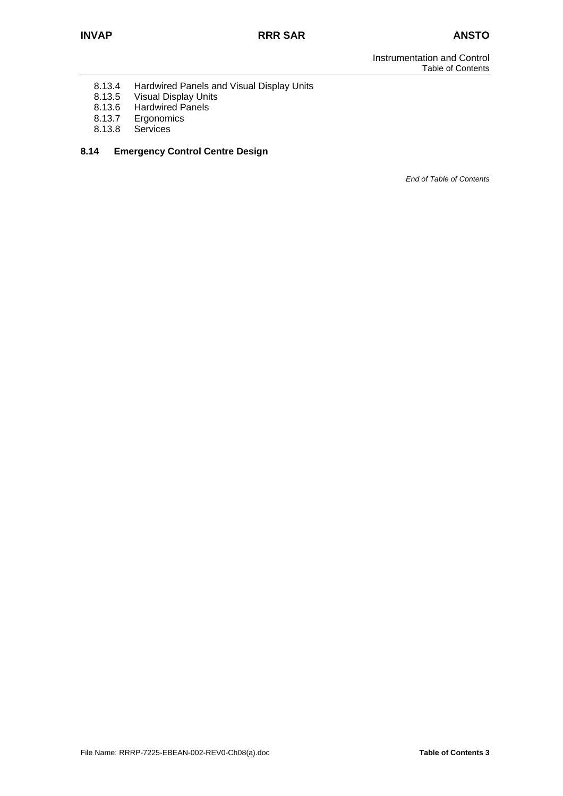- 8.13.4 Hardwired Panels and Visual Display Units<br>8.13.5 Visual Display Units
- 8.13.5 Visual Display Units<br>8.13.6 Hardwired Panels
- Hardwired Panels
- 8.13.7 Ergonomics<br>8.13.8 Services
- **Services**

#### **8.14 Emergency Control Centre Design**

*End of Table of Contents*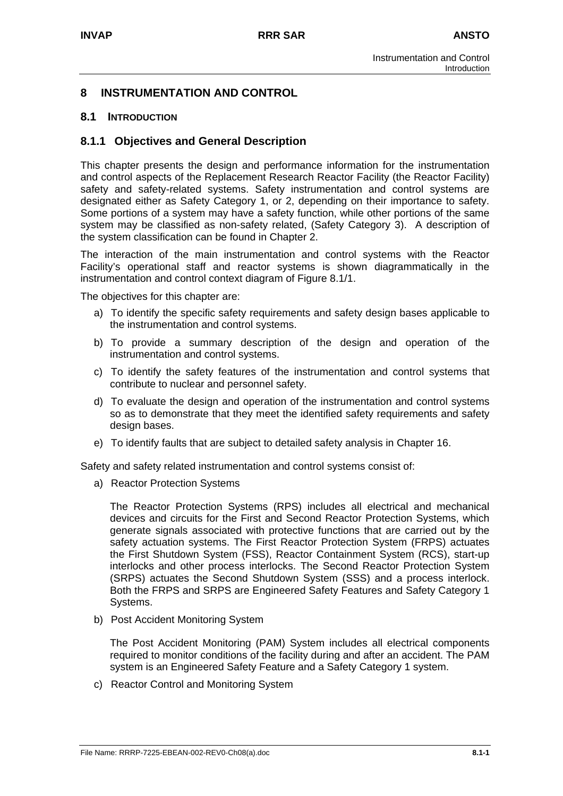## **8 INSTRUMENTATION AND CONTROL**

#### **8.1 INTRODUCTION**

### **8.1.1 Objectives and General Description**

This chapter presents the design and performance information for the instrumentation and control aspects of the Replacement Research Reactor Facility (the Reactor Facility) safety and safety-related systems. Safety instrumentation and control systems are designated either as Safety Category 1, or 2, depending on their importance to safety. Some portions of a system may have a safety function, while other portions of the same system may be classified as non-safety related, (Safety Category 3). A description of the system classification can be found in Chapter 2.

The interaction of the main instrumentation and control systems with the Reactor Facility's operational staff and reactor systems is shown diagrammatically in the instrumentation and control context diagram of Figure 8.1/1.

The objectives for this chapter are:

- a) To identify the specific safety requirements and safety design bases applicable to the instrumentation and control systems.
- b) To provide a summary description of the design and operation of the instrumentation and control systems.
- c) To identify the safety features of the instrumentation and control systems that contribute to nuclear and personnel safety.
- d) To evaluate the design and operation of the instrumentation and control systems so as to demonstrate that they meet the identified safety requirements and safety design bases.
- e) To identify faults that are subject to detailed safety analysis in Chapter 16.

Safety and safety related instrumentation and control systems consist of:

a) Reactor Protection Systems

The Reactor Protection Systems (RPS) includes all electrical and mechanical devices and circuits for the First and Second Reactor Protection Systems, which generate signals associated with protective functions that are carried out by the safety actuation systems. The First Reactor Protection System (FRPS) actuates the First Shutdown System (FSS), Reactor Containment System (RCS), start-up interlocks and other process interlocks. The Second Reactor Protection System (SRPS) actuates the Second Shutdown System (SSS) and a process interlock. Both the FRPS and SRPS are Engineered Safety Features and Safety Category 1 Systems.

b) Post Accident Monitoring System

The Post Accident Monitoring (PAM) System includes all electrical components required to monitor conditions of the facility during and after an accident. The PAM system is an Engineered Safety Feature and a Safety Category 1 system.

c) Reactor Control and Monitoring System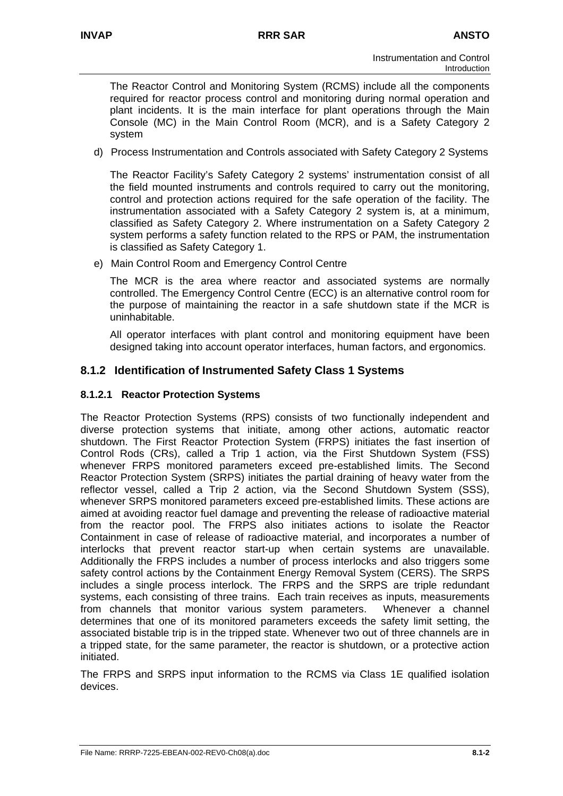The Reactor Control and Monitoring System (RCMS) include all the components required for reactor process control and monitoring during normal operation and plant incidents. It is the main interface for plant operations through the Main Console (MC) in the Main Control Room (MCR), and is a Safety Category 2 system

d) Process Instrumentation and Controls associated with Safety Category 2 Systems

The Reactor Facility's Safety Category 2 systems' instrumentation consist of all the field mounted instruments and controls required to carry out the monitoring, control and protection actions required for the safe operation of the facility. The instrumentation associated with a Safety Category 2 system is, at a minimum, classified as Safety Category 2. Where instrumentation on a Safety Category 2 system performs a safety function related to the RPS or PAM, the instrumentation is classified as Safety Category 1.

e) Main Control Room and Emergency Control Centre

The MCR is the area where reactor and associated systems are normally controlled. The Emergency Control Centre (ECC) is an alternative control room for the purpose of maintaining the reactor in a safe shutdown state if the MCR is uninhabitable.

All operator interfaces with plant control and monitoring equipment have been designed taking into account operator interfaces, human factors, and ergonomics.

## **8.1.2 Identification of Instrumented Safety Class 1 Systems**

## **8.1.2.1 Reactor Protection Systems**

The Reactor Protection Systems (RPS) consists of two functionally independent and diverse protection systems that initiate, among other actions, automatic reactor shutdown. The First Reactor Protection System (FRPS) initiates the fast insertion of Control Rods (CRs), called a Trip 1 action, via the First Shutdown System (FSS) whenever FRPS monitored parameters exceed pre-established limits. The Second Reactor Protection System (SRPS) initiates the partial draining of heavy water from the reflector vessel, called a Trip 2 action, via the Second Shutdown System (SSS), whenever SRPS monitored parameters exceed pre-established limits. These actions are aimed at avoiding reactor fuel damage and preventing the release of radioactive material from the reactor pool. The FRPS also initiates actions to isolate the Reactor Containment in case of release of radioactive material, and incorporates a number of interlocks that prevent reactor start-up when certain systems are unavailable. Additionally the FRPS includes a number of process interlocks and also triggers some safety control actions by the Containment Energy Removal System (CERS). The SRPS includes a single process interlock. The FRPS and the SRPS are triple redundant systems, each consisting of three trains. Each train receives as inputs, measurements<br>from channels that monitor various system parameters. Whenever a channel from channels that monitor various system parameters. determines that one of its monitored parameters exceeds the safety limit setting, the associated bistable trip is in the tripped state. Whenever two out of three channels are in a tripped state, for the same parameter, the reactor is shutdown, or a protective action initiated.

The FRPS and SRPS input information to the RCMS via Class 1E qualified isolation devices.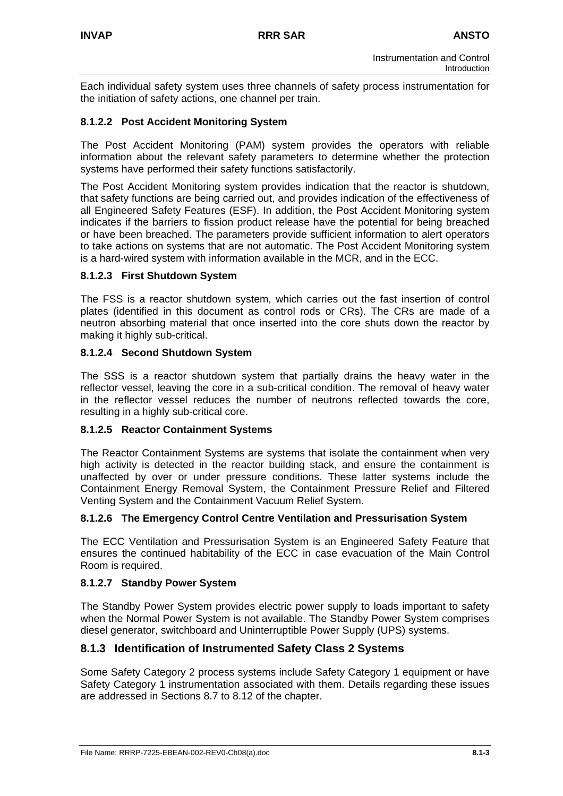Each individual safety system uses three channels of safety process instrumentation for the initiation of safety actions, one channel per train.

## **8.1.2.2 Post Accident Monitoring System**

The Post Accident Monitoring (PAM) system provides the operators with reliable information about the relevant safety parameters to determine whether the protection systems have performed their safety functions satisfactorily.

The Post Accident Monitoring system provides indication that the reactor is shutdown, that safety functions are being carried out, and provides indication of the effectiveness of all Engineered Safety Features (ESF). In addition, the Post Accident Monitoring system indicates if the barriers to fission product release have the potential for being breached or have been breached. The parameters provide sufficient information to alert operators to take actions on systems that are not automatic. The Post Accident Monitoring system is a hard-wired system with information available in the MCR, and in the ECC.

#### **8.1.2.3 First Shutdown System**

The FSS is a reactor shutdown system, which carries out the fast insertion of control plates (identified in this document as control rods or CRs). The CRs are made of a neutron absorbing material that once inserted into the core shuts down the reactor by making it highly sub-critical.

#### **8.1.2.4 Second Shutdown System**

The SSS is a reactor shutdown system that partially drains the heavy water in the reflector vessel, leaving the core in a sub-critical condition. The removal of heavy water in the reflector vessel reduces the number of neutrons reflected towards the core, resulting in a highly sub-critical core.

#### **8.1.2.5 Reactor Containment Systems**

The Reactor Containment Systems are systems that isolate the containment when very high activity is detected in the reactor building stack, and ensure the containment is unaffected by over or under pressure conditions. These latter systems include the Containment Energy Removal System, the Containment Pressure Relief and Filtered Venting System and the Containment Vacuum Relief System.

#### **8.1.2.6 The Emergency Control Centre Ventilation and Pressurisation System**

The ECC Ventilation and Pressurisation System is an Engineered Safety Feature that ensures the continued habitability of the ECC in case evacuation of the Main Control Room is required.

#### **8.1.2.7 Standby Power System**

The Standby Power System provides electric power supply to loads important to safety when the Normal Power System is not available. The Standby Power System comprises diesel generator, switchboard and Uninterruptible Power Supply (UPS) systems.

#### **8.1.3 Identification of Instrumented Safety Class 2 Systems**

Some Safety Category 2 process systems include Safety Category 1 equipment or have Safety Category 1 instrumentation associated with them. Details regarding these issues are addressed in Sections 8.7 to 8.12 of the chapter.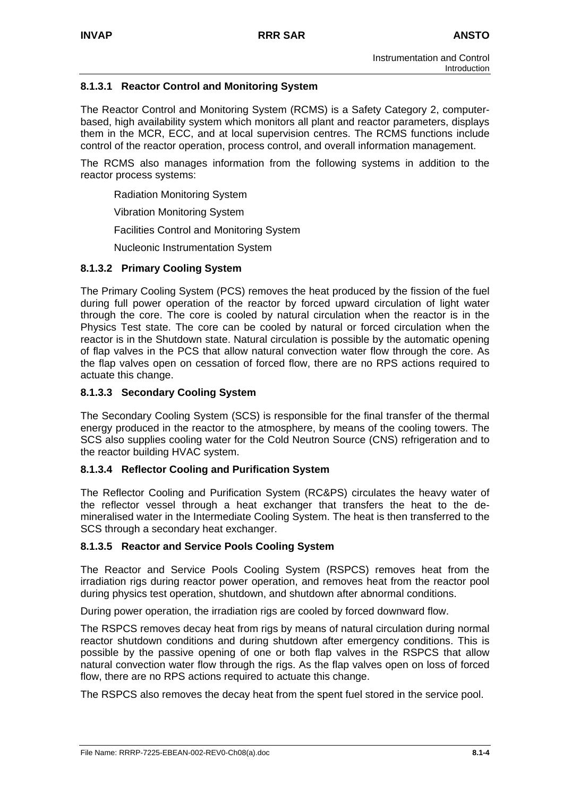## **8.1.3.1 Reactor Control and Monitoring System**

The Reactor Control and Monitoring System (RCMS) is a Safety Category 2, computerbased, high availability system which monitors all plant and reactor parameters, displays them in the MCR, ECC, and at local supervision centres. The RCMS functions include control of the reactor operation, process control, and overall information management.

The RCMS also manages information from the following systems in addition to the reactor process systems:

Radiation Monitoring System

Vibration Monitoring System

Facilities Control and Monitoring System

Nucleonic Instrumentation System

## **8.1.3.2 Primary Cooling System**

The Primary Cooling System (PCS) removes the heat produced by the fission of the fuel during full power operation of the reactor by forced upward circulation of light water through the core. The core is cooled by natural circulation when the reactor is in the Physics Test state. The core can be cooled by natural or forced circulation when the reactor is in the Shutdown state. Natural circulation is possible by the automatic opening of flap valves in the PCS that allow natural convection water flow through the core. As the flap valves open on cessation of forced flow, there are no RPS actions required to actuate this change.

### **8.1.3.3 Secondary Cooling System**

The Secondary Cooling System (SCS) is responsible for the final transfer of the thermal energy produced in the reactor to the atmosphere, by means of the cooling towers. The SCS also supplies cooling water for the Cold Neutron Source (CNS) refrigeration and to the reactor building HVAC system.

## **8.1.3.4 Reflector Cooling and Purification System**

The Reflector Cooling and Purification System (RC&PS) circulates the heavy water of the reflector vessel through a heat exchanger that transfers the heat to the demineralised water in the Intermediate Cooling System. The heat is then transferred to the SCS through a secondary heat exchanger.

## **8.1.3.5 Reactor and Service Pools Cooling System**

The Reactor and Service Pools Cooling System (RSPCS) removes heat from the irradiation rigs during reactor power operation, and removes heat from the reactor pool during physics test operation, shutdown, and shutdown after abnormal conditions.

During power operation, the irradiation rigs are cooled by forced downward flow.

The RSPCS removes decay heat from rigs by means of natural circulation during normal reactor shutdown conditions and during shutdown after emergency conditions. This is possible by the passive opening of one or both flap valves in the RSPCS that allow natural convection water flow through the rigs. As the flap valves open on loss of forced flow, there are no RPS actions required to actuate this change.

The RSPCS also removes the decay heat from the spent fuel stored in the service pool.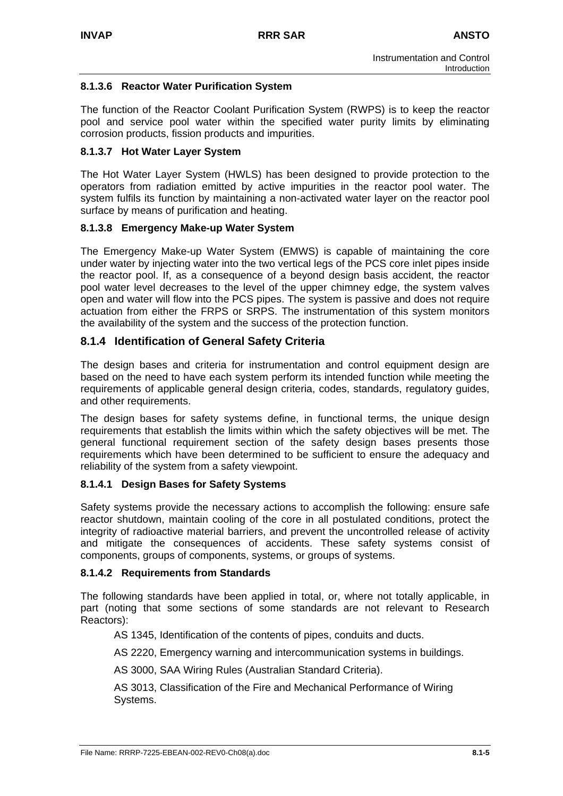## **8.1.3.6 Reactor Water Purification System**

The function of the Reactor Coolant Purification System (RWPS) is to keep the reactor pool and service pool water within the specified water purity limits by eliminating corrosion products, fission products and impurities.

## **8.1.3.7 Hot Water Layer System**

The Hot Water Layer System (HWLS) has been designed to provide protection to the operators from radiation emitted by active impurities in the reactor pool water. The system fulfils its function by maintaining a non-activated water layer on the reactor pool surface by means of purification and heating.

## **8.1.3.8 Emergency Make-up Water System**

The Emergency Make-up Water System (EMWS) is capable of maintaining the core under water by injecting water into the two vertical legs of the PCS core inlet pipes inside the reactor pool. If, as a consequence of a beyond design basis accident, the reactor pool water level decreases to the level of the upper chimney edge, the system valves open and water will flow into the PCS pipes. The system is passive and does not require actuation from either the FRPS or SRPS. The instrumentation of this system monitors the availability of the system and the success of the protection function.

## **8.1.4 Identification of General Safety Criteria**

The design bases and criteria for instrumentation and control equipment design are based on the need to have each system perform its intended function while meeting the requirements of applicable general design criteria, codes, standards, regulatory guides, and other requirements.

The design bases for safety systems define, in functional terms, the unique design requirements that establish the limits within which the safety objectives will be met. The general functional requirement section of the safety design bases presents those requirements which have been determined to be sufficient to ensure the adequacy and reliability of the system from a safety viewpoint.

## **8.1.4.1 Design Bases for Safety Systems**

Safety systems provide the necessary actions to accomplish the following: ensure safe reactor shutdown, maintain cooling of the core in all postulated conditions, protect the integrity of radioactive material barriers, and prevent the uncontrolled release of activity and mitigate the consequences of accidents. These safety systems consist of components, groups of components, systems, or groups of systems.

#### **8.1.4.2 Requirements from Standards**

The following standards have been applied in total, or, where not totally applicable, in part (noting that some sections of some standards are not relevant to Research Reactors):

AS 1345, Identification of the contents of pipes, conduits and ducts.

AS 2220, Emergency warning and intercommunication systems in buildings.

AS 3000, SAA Wiring Rules (Australian Standard Criteria).

AS 3013, Classification of the Fire and Mechanical Performance of Wiring Systems.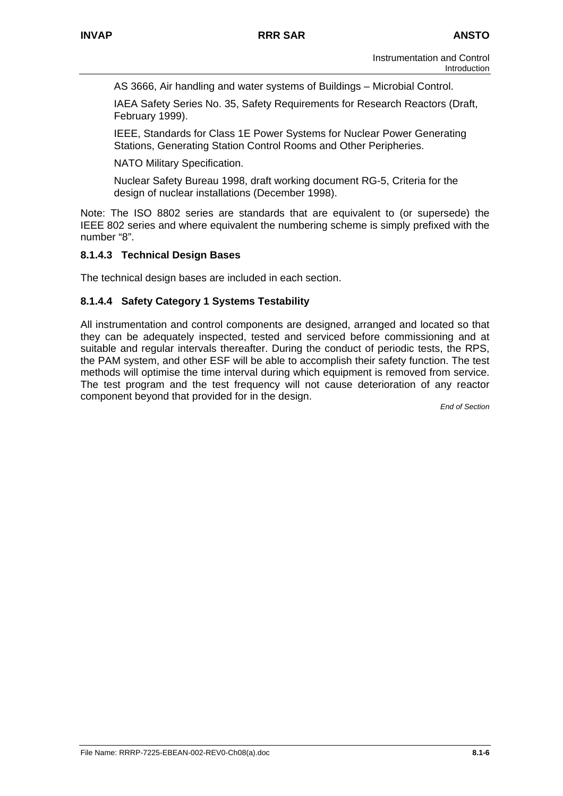AS 3666, Air handling and water systems of Buildings – Microbial Control.

IAEA Safety Series No. 35, Safety Requirements for Research Reactors (Draft, February 1999).

IEEE, Standards for Class 1E Power Systems for Nuclear Power Generating Stations, Generating Station Control Rooms and Other Peripheries.

NATO Military Specification.

Nuclear Safety Bureau 1998, draft working document RG-5, Criteria for the design of nuclear installations (December 1998).

Note: The ISO 8802 series are standards that are equivalent to (or supersede) the IEEE 802 series and where equivalent the numbering scheme is simply prefixed with the number "8".

#### **8.1.4.3 Technical Design Bases**

The technical design bases are included in each section.

## **8.1.4.4 Safety Category 1 Systems Testability**

All instrumentation and control components are designed, arranged and located so that they can be adequately inspected, tested and serviced before commissioning and at suitable and regular intervals thereafter. During the conduct of periodic tests, the RPS, the PAM system, and other ESF will be able to accomplish their safety function. The test methods will optimise the time interval during which equipment is removed from service. The test program and the test frequency will not cause deterioration of any reactor component beyond that provided for in the design.

*End of Section*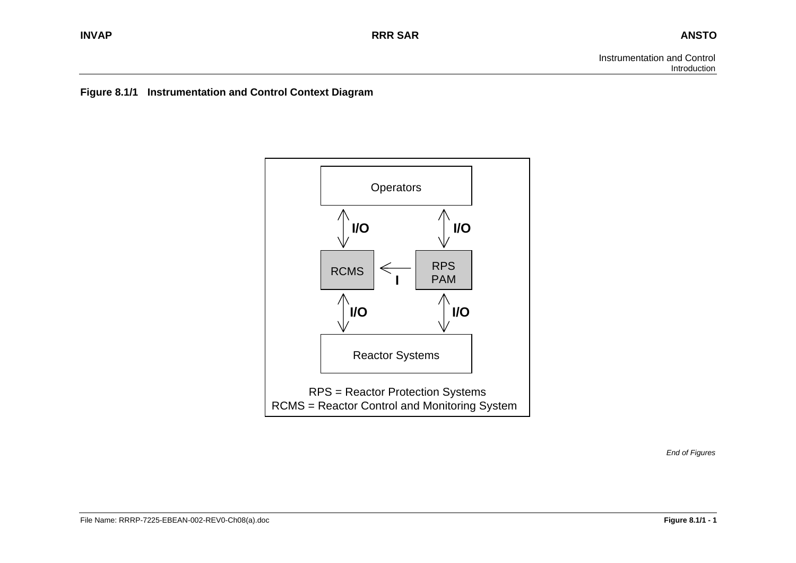## **Figure 8.1/1 Instrumentation and Control Context Diagram**



*End of Figures*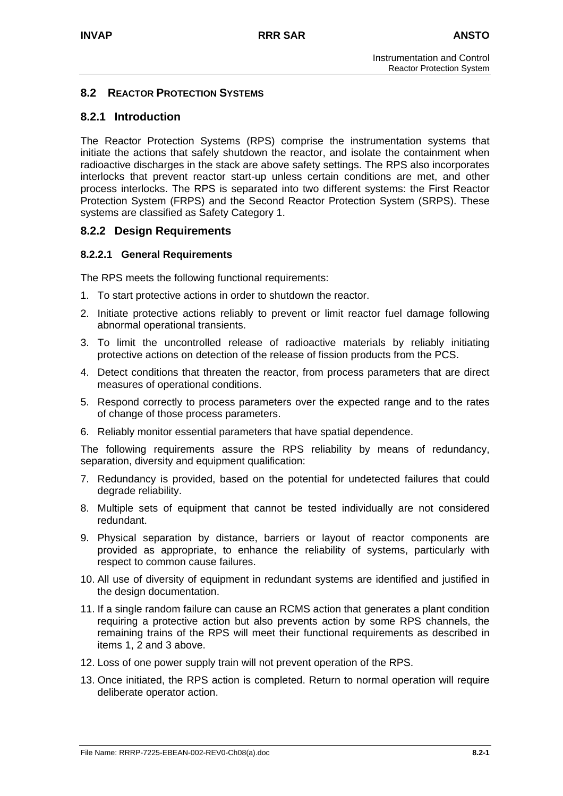## **8.2 REACTOR PROTECTION SYSTEMS**

## **8.2.1 Introduction**

The Reactor Protection Systems (RPS) comprise the instrumentation systems that initiate the actions that safely shutdown the reactor, and isolate the containment when radioactive discharges in the stack are above safety settings. The RPS also incorporates interlocks that prevent reactor start-up unless certain conditions are met, and other process interlocks. The RPS is separated into two different systems: the First Reactor Protection System (FRPS) and the Second Reactor Protection System (SRPS). These systems are classified as Safety Category 1.

## **8.2.2 Design Requirements**

## **8.2.2.1 General Requirements**

The RPS meets the following functional requirements:

- 1. To start protective actions in order to shutdown the reactor.
- 2. Initiate protective actions reliably to prevent or limit reactor fuel damage following abnormal operational transients.
- 3. To limit the uncontrolled release of radioactive materials by reliably initiating protective actions on detection of the release of fission products from the PCS.
- 4. Detect conditions that threaten the reactor, from process parameters that are direct measures of operational conditions.
- 5. Respond correctly to process parameters over the expected range and to the rates of change of those process parameters.
- 6. Reliably monitor essential parameters that have spatial dependence.

The following requirements assure the RPS reliability by means of redundancy, separation, diversity and equipment qualification:

- 7. Redundancy is provided, based on the potential for undetected failures that could degrade reliability.
- 8. Multiple sets of equipment that cannot be tested individually are not considered redundant.
- 9. Physical separation by distance, barriers or layout of reactor components are provided as appropriate, to enhance the reliability of systems, particularly with respect to common cause failures.
- 10. All use of diversity of equipment in redundant systems are identified and justified in the design documentation.
- 11. If a single random failure can cause an RCMS action that generates a plant condition requiring a protective action but also prevents action by some RPS channels, the remaining trains of the RPS will meet their functional requirements as described in items 1, 2 and 3 above.
- 12. Loss of one power supply train will not prevent operation of the RPS.
- 13. Once initiated, the RPS action is completed. Return to normal operation will require deliberate operator action.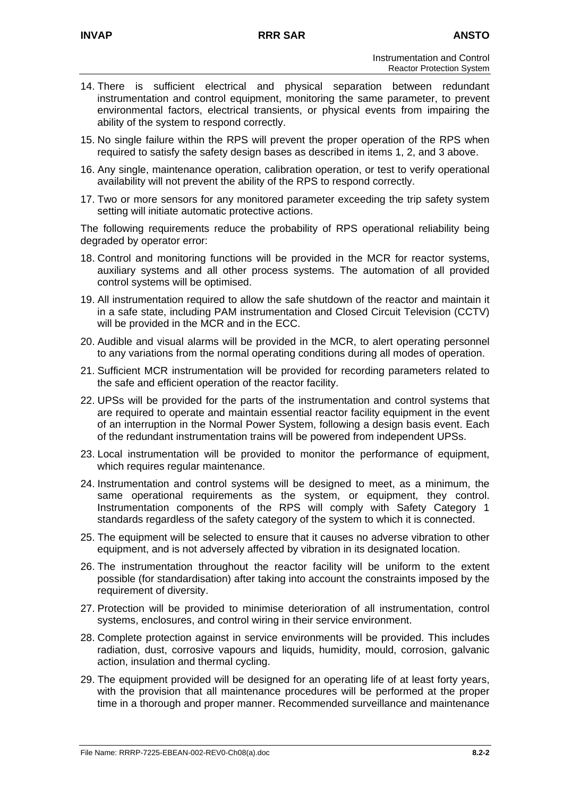- 14. There is sufficient electrical and physical separation between redundant instrumentation and control equipment, monitoring the same parameter, to prevent environmental factors, electrical transients, or physical events from impairing the ability of the system to respond correctly.
- 15. No single failure within the RPS will prevent the proper operation of the RPS when required to satisfy the safety design bases as described in items 1, 2, and 3 above.
- 16. Any single, maintenance operation, calibration operation, or test to verify operational availability will not prevent the ability of the RPS to respond correctly.
- 17. Two or more sensors for any monitored parameter exceeding the trip safety system setting will initiate automatic protective actions.

The following requirements reduce the probability of RPS operational reliability being degraded by operator error:

- 18. Control and monitoring functions will be provided in the MCR for reactor systems, auxiliary systems and all other process systems. The automation of all provided control systems will be optimised.
- 19. All instrumentation required to allow the safe shutdown of the reactor and maintain it in a safe state, including PAM instrumentation and Closed Circuit Television (CCTV) will be provided in the MCR and in the ECC.
- 20. Audible and visual alarms will be provided in the MCR, to alert operating personnel to any variations from the normal operating conditions during all modes of operation.
- 21. Sufficient MCR instrumentation will be provided for recording parameters related to the safe and efficient operation of the reactor facility.
- 22. UPSs will be provided for the parts of the instrumentation and control systems that are required to operate and maintain essential reactor facility equipment in the event of an interruption in the Normal Power System, following a design basis event. Each of the redundant instrumentation trains will be powered from independent UPSs.
- 23. Local instrumentation will be provided to monitor the performance of equipment, which requires regular maintenance.
- 24. Instrumentation and control systems will be designed to meet, as a minimum, the same operational requirements as the system, or equipment, they control. Instrumentation components of the RPS will comply with Safety Category 1 standards regardless of the safety category of the system to which it is connected.
- 25. The equipment will be selected to ensure that it causes no adverse vibration to other equipment, and is not adversely affected by vibration in its designated location.
- 26. The instrumentation throughout the reactor facility will be uniform to the extent possible (for standardisation) after taking into account the constraints imposed by the requirement of diversity.
- 27. Protection will be provided to minimise deterioration of all instrumentation, control systems, enclosures, and control wiring in their service environment.
- 28. Complete protection against in service environments will be provided. This includes radiation, dust, corrosive vapours and liquids, humidity, mould, corrosion, galvanic action, insulation and thermal cycling.
- 29. The equipment provided will be designed for an operating life of at least forty years, with the provision that all maintenance procedures will be performed at the proper time in a thorough and proper manner. Recommended surveillance and maintenance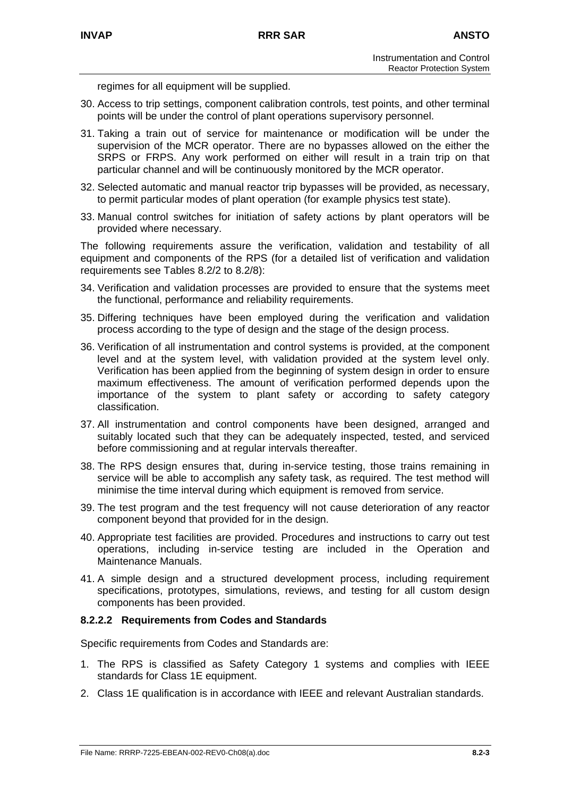regimes for all equipment will be supplied.

- 30. Access to trip settings, component calibration controls, test points, and other terminal points will be under the control of plant operations supervisory personnel.
- 31. Taking a train out of service for maintenance or modification will be under the supervision of the MCR operator. There are no bypasses allowed on the either the SRPS or FRPS. Any work performed on either will result in a train trip on that particular channel and will be continuously monitored by the MCR operator.
- 32. Selected automatic and manual reactor trip bypasses will be provided, as necessary, to permit particular modes of plant operation (for example physics test state).
- 33. Manual control switches for initiation of safety actions by plant operators will be provided where necessary.

The following requirements assure the verification, validation and testability of all equipment and components of the RPS (for a detailed list of verification and validation requirements see Tables 8.2/2 to 8.2/8):

- 34. Verification and validation processes are provided to ensure that the systems meet the functional, performance and reliability requirements.
- 35. Differing techniques have been employed during the verification and validation process according to the type of design and the stage of the design process.
- 36. Verification of all instrumentation and control systems is provided, at the component level and at the system level, with validation provided at the system level only. Verification has been applied from the beginning of system design in order to ensure maximum effectiveness. The amount of verification performed depends upon the importance of the system to plant safety or according to safety category classification.
- 37. All instrumentation and control components have been designed, arranged and suitably located such that they can be adequately inspected, tested, and serviced before commissioning and at regular intervals thereafter.
- 38. The RPS design ensures that, during in-service testing, those trains remaining in service will be able to accomplish any safety task, as required. The test method will minimise the time interval during which equipment is removed from service.
- 39. The test program and the test frequency will not cause deterioration of any reactor component beyond that provided for in the design.
- 40. Appropriate test facilities are provided. Procedures and instructions to carry out test operations, including in-service testing are included in the Operation and Maintenance Manuals.
- 41. A simple design and a structured development process, including requirement specifications, prototypes, simulations, reviews, and testing for all custom design components has been provided.

#### **8.2.2.2 Requirements from Codes and Standards**

Specific requirements from Codes and Standards are:

- 1. The RPS is classified as Safety Category 1 systems and complies with IEEE standards for Class 1E equipment.
- 2. Class 1E qualification is in accordance with IEEE and relevant Australian standards.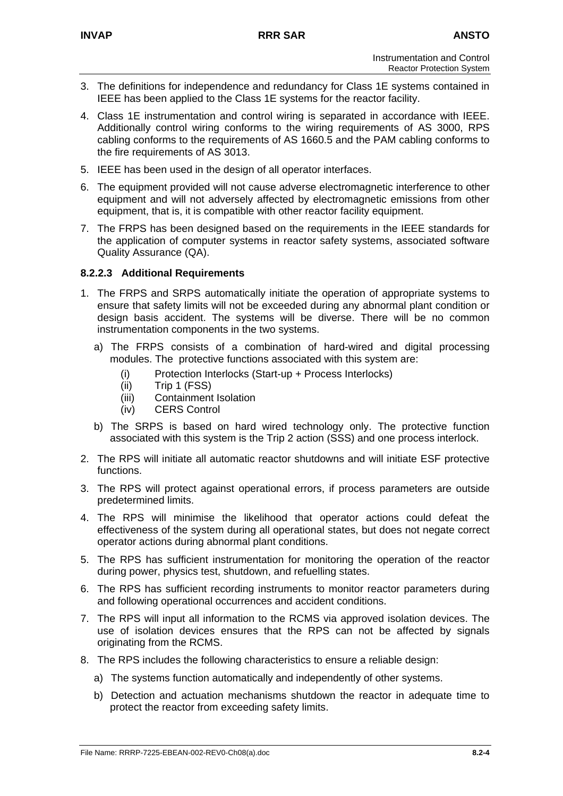- 3. The definitions for independence and redundancy for Class 1E systems contained in IEEE has been applied to the Class 1E systems for the reactor facility.
- 4. Class 1E instrumentation and control wiring is separated in accordance with IEEE. Additionally control wiring conforms to the wiring requirements of AS 3000, RPS cabling conforms to the requirements of AS 1660.5 and the PAM cabling conforms to the fire requirements of AS 3013.
- 5. IEEE has been used in the design of all operator interfaces.
- 6. The equipment provided will not cause adverse electromagnetic interference to other equipment and will not adversely affected by electromagnetic emissions from other equipment, that is, it is compatible with other reactor facility equipment.
- 7. The FRPS has been designed based on the requirements in the IEEE standards for the application of computer systems in reactor safety systems, associated software Quality Assurance (QA).

## **8.2.2.3 Additional Requirements**

- 1. The FRPS and SRPS automatically initiate the operation of appropriate systems to ensure that safety limits will not be exceeded during any abnormal plant condition or design basis accident. The systems will be diverse. There will be no common instrumentation components in the two systems.
	- a) The FRPS consists of a combination of hard-wired and digital processing modules. The protective functions associated with this system are:
		- (i) Protection Interlocks (Start-up + Process Interlocks)
		- (ii) Trip 1 (FSS)
		- (iii) Containment Isolation
		- (iv) CERS Control
	- b) The SRPS is based on hard wired technology only. The protective function associated with this system is the Trip 2 action (SSS) and one process interlock.
- 2. The RPS will initiate all automatic reactor shutdowns and will initiate ESF protective functions.
- 3. The RPS will protect against operational errors, if process parameters are outside predetermined limits.
- 4. The RPS will minimise the likelihood that operator actions could defeat the effectiveness of the system during all operational states, but does not negate correct operator actions during abnormal plant conditions.
- 5. The RPS has sufficient instrumentation for monitoring the operation of the reactor during power, physics test, shutdown, and refuelling states.
- 6. The RPS has sufficient recording instruments to monitor reactor parameters during and following operational occurrences and accident conditions.
- 7. The RPS will input all information to the RCMS via approved isolation devices. The use of isolation devices ensures that the RPS can not be affected by signals originating from the RCMS.
- 8. The RPS includes the following characteristics to ensure a reliable design:
	- a) The systems function automatically and independently of other systems.
	- b) Detection and actuation mechanisms shutdown the reactor in adequate time to protect the reactor from exceeding safety limits.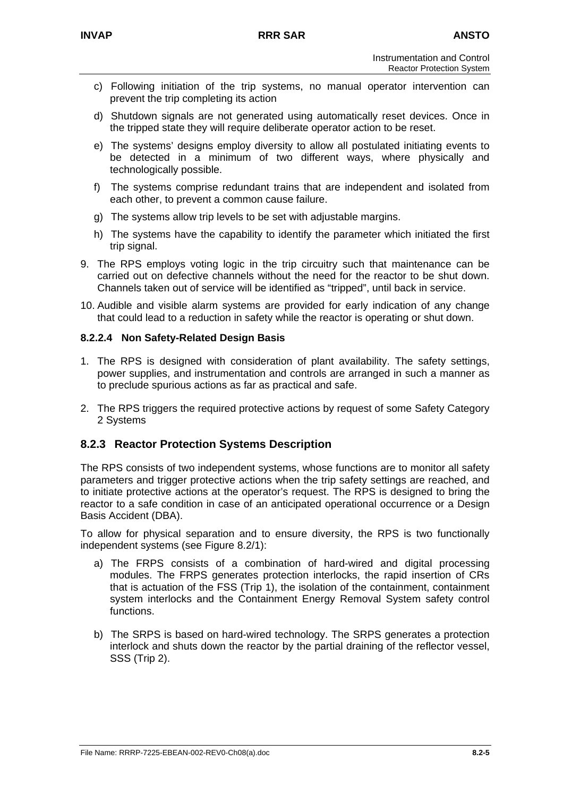- c) Following initiation of the trip systems, no manual operator intervention can prevent the trip completing its action
- d) Shutdown signals are not generated using automatically reset devices. Once in the tripped state they will require deliberate operator action to be reset.
- e) The systems' designs employ diversity to allow all postulated initiating events to be detected in a minimum of two different ways, where physically and technologically possible.
- f) The systems comprise redundant trains that are independent and isolated from each other, to prevent a common cause failure.
- g) The systems allow trip levels to be set with adjustable margins.
- h) The systems have the capability to identify the parameter which initiated the first trip signal.
- 9. The RPS employs voting logic in the trip circuitry such that maintenance can be carried out on defective channels without the need for the reactor to be shut down. Channels taken out of service will be identified as "tripped", until back in service.
- 10. Audible and visible alarm systems are provided for early indication of any change that could lead to a reduction in safety while the reactor is operating or shut down.

## **8.2.2.4 Non Safety-Related Design Basis**

- 1. The RPS is designed with consideration of plant availability. The safety settings, power supplies, and instrumentation and controls are arranged in such a manner as to preclude spurious actions as far as practical and safe.
- 2. The RPS triggers the required protective actions by request of some Safety Category 2 Systems

## **8.2.3 Reactor Protection Systems Description**

The RPS consists of two independent systems, whose functions are to monitor all safety parameters and trigger protective actions when the trip safety settings are reached, and to initiate protective actions at the operator's request. The RPS is designed to bring the reactor to a safe condition in case of an anticipated operational occurrence or a Design Basis Accident (DBA).

To allow for physical separation and to ensure diversity, the RPS is two functionally independent systems (see Figure 8.2/1):

- a) The FRPS consists of a combination of hard-wired and digital processing modules. The FRPS generates protection interlocks, the rapid insertion of CRs that is actuation of the FSS (Trip 1), the isolation of the containment, containment system interlocks and the Containment Energy Removal System safety control functions.
- b) The SRPS is based on hard-wired technology. The SRPS generates a protection interlock and shuts down the reactor by the partial draining of the reflector vessel, SSS (Trip 2).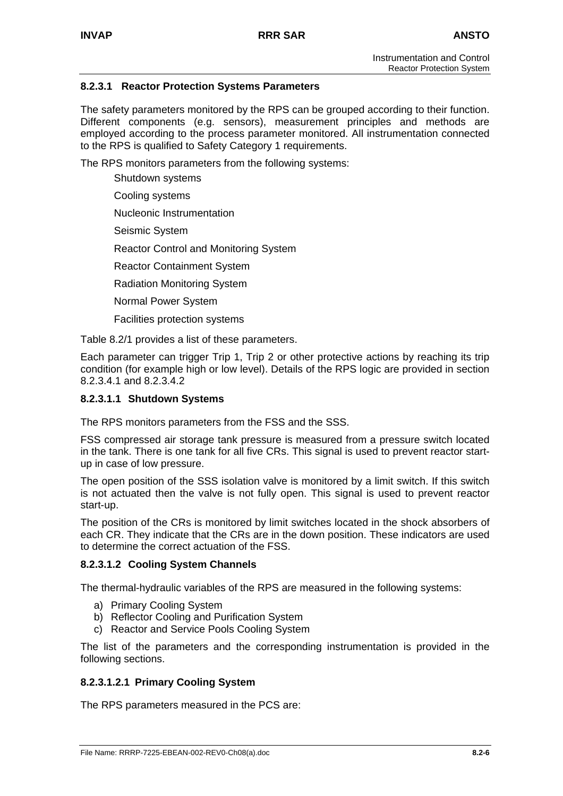## **8.2.3.1 Reactor Protection Systems Parameters**

The safety parameters monitored by the RPS can be grouped according to their function. Different components (e.g. sensors), measurement principles and methods are employed according to the process parameter monitored. All instrumentation connected to the RPS is qualified to Safety Category 1 requirements.

The RPS monitors parameters from the following systems:

Shutdown systems Cooling systems Nucleonic Instrumentation Seismic System Reactor Control and Monitoring System Reactor Containment System Radiation Monitoring System Normal Power System Facilities protection systems

Table 8.2/1 provides a list of these parameters.

Each parameter can trigger Trip 1, Trip 2 or other protective actions by reaching its trip condition (for example high or low level). Details of the RPS logic are provided in section 8.2.3.4.1 and 8.2.3.4.2

## **8.2.3.1.1 Shutdown Systems**

The RPS monitors parameters from the FSS and the SSS.

FSS compressed air storage tank pressure is measured from a pressure switch located in the tank. There is one tank for all five CRs. This signal is used to prevent reactor startup in case of low pressure.

The open position of the SSS isolation valve is monitored by a limit switch. If this switch is not actuated then the valve is not fully open. This signal is used to prevent reactor start-up.

The position of the CRs is monitored by limit switches located in the shock absorbers of each CR. They indicate that the CRs are in the down position. These indicators are used to determine the correct actuation of the FSS.

## **8.2.3.1.2 Cooling System Channels**

The thermal-hydraulic variables of the RPS are measured in the following systems:

- a) Primary Cooling System
- b) Reflector Cooling and Purification System
- c) Reactor and Service Pools Cooling System

The list of the parameters and the corresponding instrumentation is provided in the following sections.

## **8.2.3.1.2.1 Primary Cooling System**

The RPS parameters measured in the PCS are: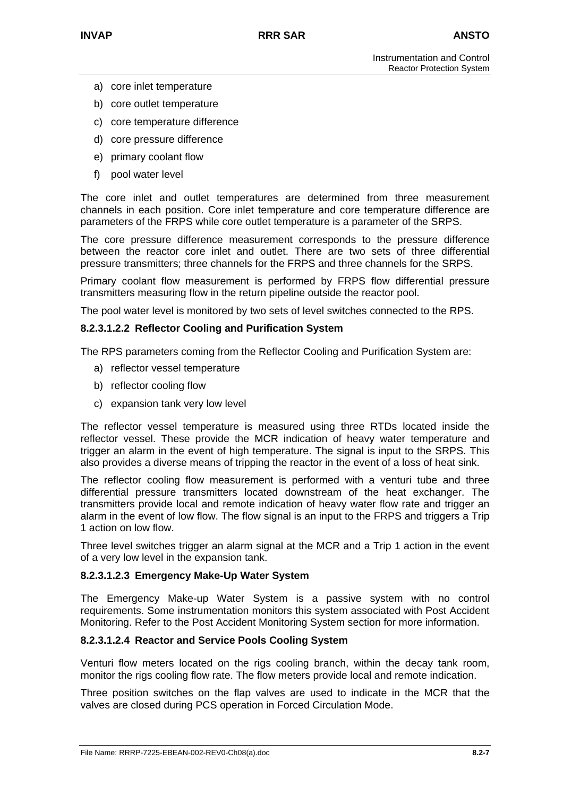- a) core inlet temperature
- b) core outlet temperature
- c) core temperature difference
- d) core pressure difference
- e) primary coolant flow
- f) pool water level

The core inlet and outlet temperatures are determined from three measurement channels in each position. Core inlet temperature and core temperature difference are parameters of the FRPS while core outlet temperature is a parameter of the SRPS.

The core pressure difference measurement corresponds to the pressure difference between the reactor core inlet and outlet. There are two sets of three differential pressure transmitters; three channels for the FRPS and three channels for the SRPS.

Primary coolant flow measurement is performed by FRPS flow differential pressure transmitters measuring flow in the return pipeline outside the reactor pool.

The pool water level is monitored by two sets of level switches connected to the RPS.

#### **8.2.3.1.2.2 Reflector Cooling and Purification System**

The RPS parameters coming from the Reflector Cooling and Purification System are:

- a) reflector vessel temperature
- b) reflector cooling flow
- c) expansion tank very low level

The reflector vessel temperature is measured using three RTDs located inside the reflector vessel. These provide the MCR indication of heavy water temperature and trigger an alarm in the event of high temperature. The signal is input to the SRPS. This also provides a diverse means of tripping the reactor in the event of a loss of heat sink.

The reflector cooling flow measurement is performed with a venturi tube and three differential pressure transmitters located downstream of the heat exchanger. The transmitters provide local and remote indication of heavy water flow rate and trigger an alarm in the event of low flow. The flow signal is an input to the FRPS and triggers a Trip 1 action on low flow.

Three level switches trigger an alarm signal at the MCR and a Trip 1 action in the event of a very low level in the expansion tank.

#### **8.2.3.1.2.3 Emergency Make-Up Water System**

The Emergency Make-up Water System is a passive system with no control requirements. Some instrumentation monitors this system associated with Post Accident Monitoring. Refer to the Post Accident Monitoring System section for more information.

#### **8.2.3.1.2.4 Reactor and Service Pools Cooling System**

Venturi flow meters located on the rigs cooling branch, within the decay tank room, monitor the rigs cooling flow rate. The flow meters provide local and remote indication.

Three position switches on the flap valves are used to indicate in the MCR that the valves are closed during PCS operation in Forced Circulation Mode.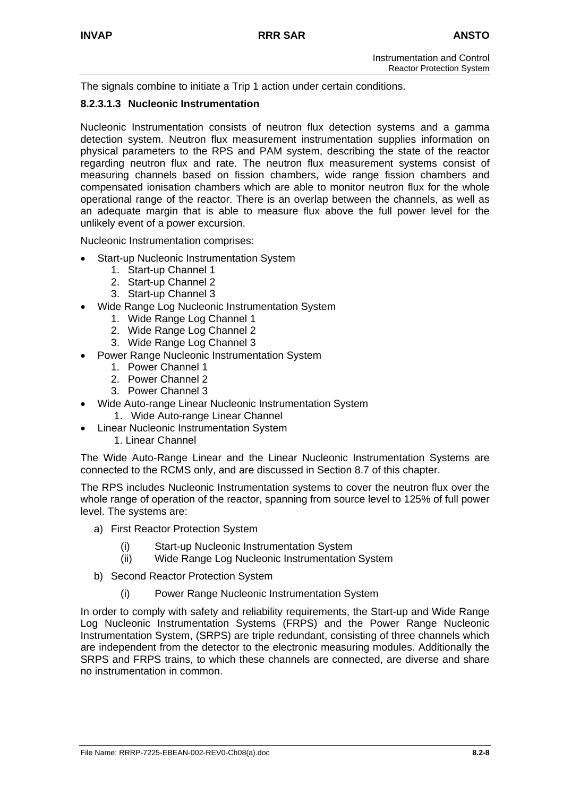The signals combine to initiate a Trip 1 action under certain conditions.

## **8.2.3.1.3 Nucleonic Instrumentation**

Nucleonic Instrumentation consists of neutron flux detection systems and a gamma detection system. Neutron flux measurement instrumentation supplies information on physical parameters to the RPS and PAM system, describing the state of the reactor regarding neutron flux and rate. The neutron flux measurement systems consist of measuring channels based on fission chambers, wide range fission chambers and compensated ionisation chambers which are able to monitor neutron flux for the whole operational range of the reactor. There is an overlap between the channels, as well as an adequate margin that is able to measure flux above the full power level for the unlikely event of a power excursion.

Nucleonic Instrumentation comprises:

- Start-up Nucleonic Instrumentation System
	- 1. Start-up Channel 1
	- 2. Start-up Channel 2
	- 3. Start-up Channel 3
- Wide Range Log Nucleonic Instrumentation System
	- 1. Wide Range Log Channel 1
	- 2. Wide Range Log Channel 2
	- 3. Wide Range Log Channel 3
- Power Range Nucleonic Instrumentation System
	- 1. Power Channel 1
	- 2. Power Channel 2
	- 3. Power Channel 3
- Wide Auto-range Linear Nucleonic Instrumentation System
	- 1. Wide Auto-range Linear Channel
	- Linear Nucleonic Instrumentation System
		- 1. Linear Channel

The Wide Auto-Range Linear and the Linear Nucleonic Instrumentation Systems are connected to the RCMS only, and are discussed in Section 8.7 of this chapter.

The RPS includes Nucleonic Instrumentation systems to cover the neutron flux over the whole range of operation of the reactor, spanning from source level to 125% of full power level. The systems are:

- a) First Reactor Protection System
	- (i) Start-up Nucleonic Instrumentation System
	- (ii) Wide Range Log Nucleonic Instrumentation System
- b) Second Reactor Protection System
	- (i) Power Range Nucleonic Instrumentation System

In order to comply with safety and reliability requirements, the Start-up and Wide Range Log Nucleonic Instrumentation Systems (FRPS) and the Power Range Nucleonic Instrumentation System, (SRPS) are triple redundant, consisting of three channels which are independent from the detector to the electronic measuring modules. Additionally the SRPS and FRPS trains, to which these channels are connected, are diverse and share no instrumentation in common.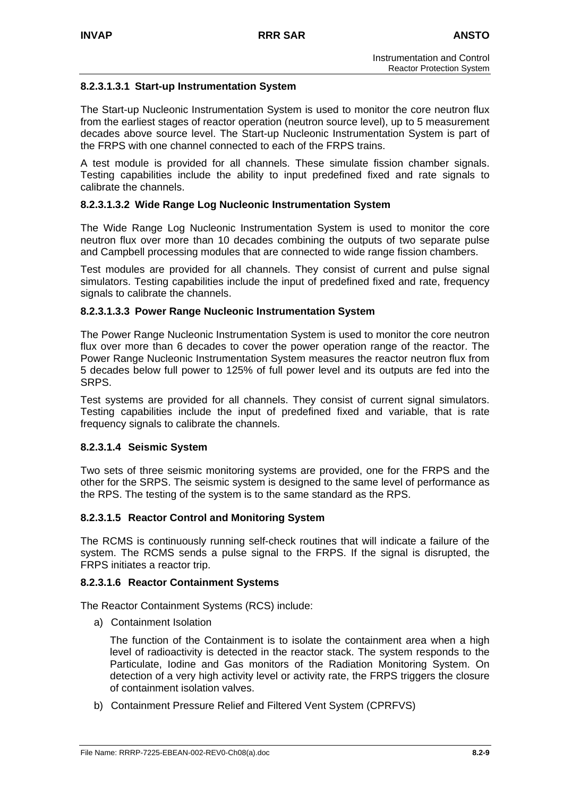## **8.2.3.1.3.1 Start-up Instrumentation System**

The Start-up Nucleonic Instrumentation System is used to monitor the core neutron flux from the earliest stages of reactor operation (neutron source level), up to 5 measurement decades above source level. The Start-up Nucleonic Instrumentation System is part of the FRPS with one channel connected to each of the FRPS trains.

A test module is provided for all channels. These simulate fission chamber signals. Testing capabilities include the ability to input predefined fixed and rate signals to calibrate the channels.

### **8.2.3.1.3.2 Wide Range Log Nucleonic Instrumentation System**

The Wide Range Log Nucleonic Instrumentation System is used to monitor the core neutron flux over more than 10 decades combining the outputs of two separate pulse and Campbell processing modules that are connected to wide range fission chambers.

Test modules are provided for all channels. They consist of current and pulse signal simulators. Testing capabilities include the input of predefined fixed and rate, frequency signals to calibrate the channels.

## **8.2.3.1.3.3 Power Range Nucleonic Instrumentation System**

The Power Range Nucleonic Instrumentation System is used to monitor the core neutron flux over more than 6 decades to cover the power operation range of the reactor. The Power Range Nucleonic Instrumentation System measures the reactor neutron flux from 5 decades below full power to 125% of full power level and its outputs are fed into the SRPS.

Test systems are provided for all channels. They consist of current signal simulators. Testing capabilities include the input of predefined fixed and variable, that is rate frequency signals to calibrate the channels.

#### **8.2.3.1.4 Seismic System**

Two sets of three seismic monitoring systems are provided, one for the FRPS and the other for the SRPS. The seismic system is designed to the same level of performance as the RPS. The testing of the system is to the same standard as the RPS.

## **8.2.3.1.5 Reactor Control and Monitoring System**

The RCMS is continuously running self-check routines that will indicate a failure of the system. The RCMS sends a pulse signal to the FRPS. If the signal is disrupted, the FRPS initiates a reactor trip.

#### **8.2.3.1.6 Reactor Containment Systems**

The Reactor Containment Systems (RCS) include:

a) Containment Isolation

The function of the Containment is to isolate the containment area when a high level of radioactivity is detected in the reactor stack. The system responds to the Particulate, Iodine and Gas monitors of the Radiation Monitoring System. On detection of a very high activity level or activity rate, the FRPS triggers the closure of containment isolation valves.

b) Containment Pressure Relief and Filtered Vent System (CPRFVS)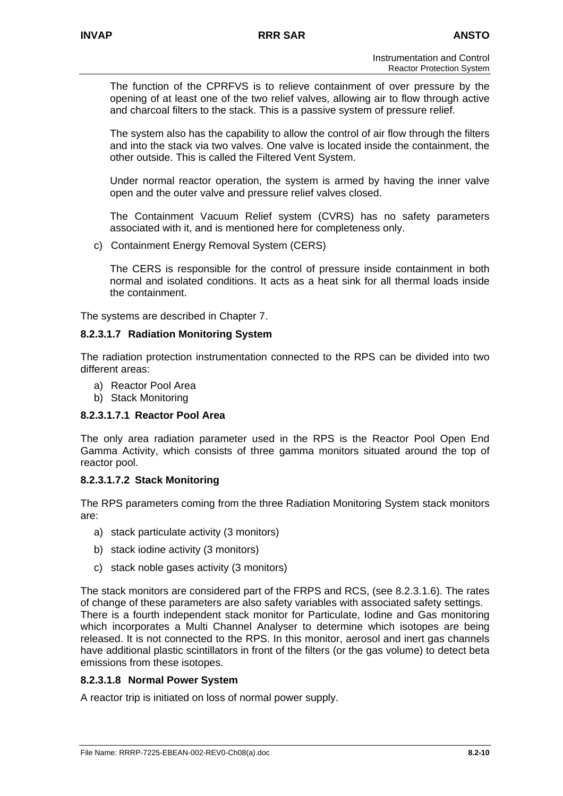The function of the CPRFVS is to relieve containment of over pressure by the opening of at least one of the two relief valves, allowing air to flow through active and charcoal filters to the stack. This is a passive system of pressure relief.

The system also has the capability to allow the control of air flow through the filters and into the stack via two valves. One valve is located inside the containment, the other outside. This is called the Filtered Vent System.

Under normal reactor operation, the system is armed by having the inner valve open and the outer valve and pressure relief valves closed.

The Containment Vacuum Relief system (CVRS) has no safety parameters associated with it, and is mentioned here for completeness only.

c) Containment Energy Removal System (CERS)

The CERS is responsible for the control of pressure inside containment in both normal and isolated conditions. It acts as a heat sink for all thermal loads inside the containment.

The systems are described in Chapter 7.

#### **8.2.3.1.7 Radiation Monitoring System**

The radiation protection instrumentation connected to the RPS can be divided into two different areas:

- a) Reactor Pool Area
- b) Stack Monitoring

## **8.2.3.1.7.1 Reactor Pool Area**

The only area radiation parameter used in the RPS is the Reactor Pool Open End Gamma Activity, which consists of three gamma monitors situated around the top of reactor pool.

#### **8.2.3.1.7.2 Stack Monitoring**

The RPS parameters coming from the three Radiation Monitoring System stack monitors are:

- a) stack particulate activity (3 monitors)
- b) stack iodine activity (3 monitors)
- c) stack noble gases activity (3 monitors)

The stack monitors are considered part of the FRPS and RCS, (see 8.2.3.1.6). The rates of change of these parameters are also safety variables with associated safety settings. There is a fourth independent stack monitor for Particulate, Iodine and Gas monitoring which incorporates a Multi Channel Analyser to determine which isotopes are being released. It is not connected to the RPS. In this monitor, aerosol and inert gas channels have additional plastic scintillators in front of the filters (or the gas volume) to detect beta emissions from these isotopes.

#### **8.2.3.1.8 Normal Power System**

A reactor trip is initiated on loss of normal power supply.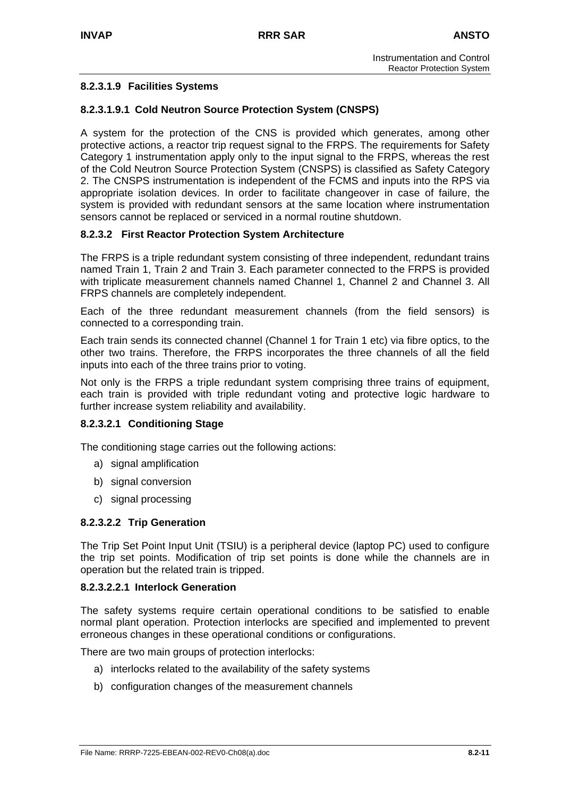## **8.2.3.1.9 Facilities Systems**

## **8.2.3.1.9.1 Cold Neutron Source Protection System (CNSPS)**

A system for the protection of the CNS is provided which generates, among other protective actions, a reactor trip request signal to the FRPS. The requirements for Safety Category 1 instrumentation apply only to the input signal to the FRPS, whereas the rest of the Cold Neutron Source Protection System (CNSPS) is classified as Safety Category 2. The CNSPS instrumentation is independent of the FCMS and inputs into the RPS via appropriate isolation devices. In order to facilitate changeover in case of failure, the system is provided with redundant sensors at the same location where instrumentation sensors cannot be replaced or serviced in a normal routine shutdown.

## **8.2.3.2 First Reactor Protection System Architecture**

The FRPS is a triple redundant system consisting of three independent, redundant trains named Train 1, Train 2 and Train 3. Each parameter connected to the FRPS is provided with triplicate measurement channels named Channel 1, Channel 2 and Channel 3. All FRPS channels are completely independent.

Each of the three redundant measurement channels (from the field sensors) is connected to a corresponding train.

Each train sends its connected channel (Channel 1 for Train 1 etc) via fibre optics, to the other two trains. Therefore, the FRPS incorporates the three channels of all the field inputs into each of the three trains prior to voting.

Not only is the FRPS a triple redundant system comprising three trains of equipment, each train is provided with triple redundant voting and protective logic hardware to further increase system reliability and availability.

#### **8.2.3.2.1 Conditioning Stage**

The conditioning stage carries out the following actions:

- a) signal amplification
- b) signal conversion
- c) signal processing

#### **8.2.3.2.2 Trip Generation**

The Trip Set Point Input Unit (TSIU) is a peripheral device (laptop PC) used to configure the trip set points. Modification of trip set points is done while the channels are in operation but the related train is tripped.

#### **8.2.3.2.2.1 Interlock Generation**

The safety systems require certain operational conditions to be satisfied to enable normal plant operation. Protection interlocks are specified and implemented to prevent erroneous changes in these operational conditions or configurations.

There are two main groups of protection interlocks:

- a) interlocks related to the availability of the safety systems
- b) configuration changes of the measurement channels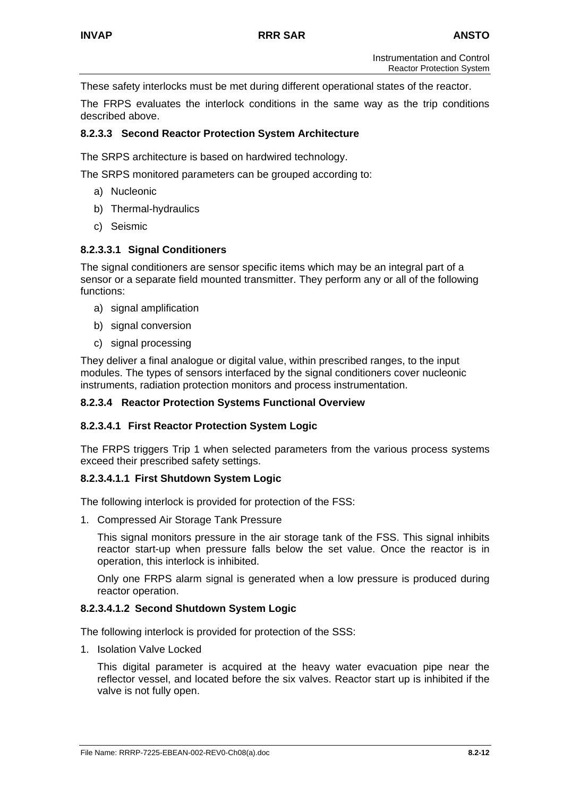These safety interlocks must be met during different operational states of the reactor.

The FRPS evaluates the interlock conditions in the same way as the trip conditions described above.

## **8.2.3.3 Second Reactor Protection System Architecture**

The SRPS architecture is based on hardwired technology.

The SRPS monitored parameters can be grouped according to:

- a) Nucleonic
- b) Thermal-hydraulics
- c) Seismic

## **8.2.3.3.1 Signal Conditioners**

The signal conditioners are sensor specific items which may be an integral part of a sensor or a separate field mounted transmitter. They perform any or all of the following functions:

- a) signal amplification
- b) signal conversion
- c) signal processing

They deliver a final analogue or digital value, within prescribed ranges, to the input modules. The types of sensors interfaced by the signal conditioners cover nucleonic instruments, radiation protection monitors and process instrumentation.

### **8.2.3.4 Reactor Protection Systems Functional Overview**

#### **8.2.3.4.1 First Reactor Protection System Logic**

The FRPS triggers Trip 1 when selected parameters from the various process systems exceed their prescribed safety settings.

#### **8.2.3.4.1.1 First Shutdown System Logic**

The following interlock is provided for protection of the FSS:

1. Compressed Air Storage Tank Pressure

This signal monitors pressure in the air storage tank of the FSS. This signal inhibits reactor start-up when pressure falls below the set value. Once the reactor is in operation, this interlock is inhibited.

Only one FRPS alarm signal is generated when a low pressure is produced during reactor operation.

## **8.2.3.4.1.2 Second Shutdown System Logic**

The following interlock is provided for protection of the SSS:

1. Isolation Valve Locked

This digital parameter is acquired at the heavy water evacuation pipe near the reflector vessel, and located before the six valves. Reactor start up is inhibited if the valve is not fully open.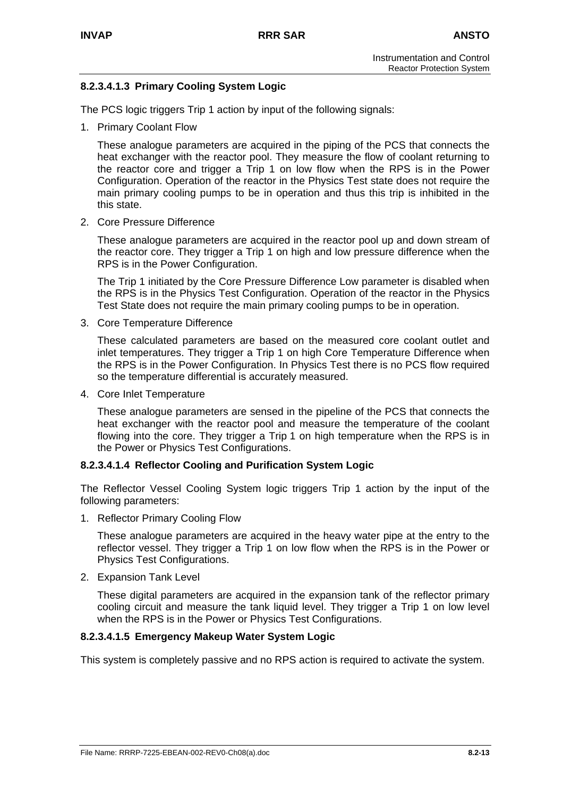## **8.2.3.4.1.3 Primary Cooling System Logic**

The PCS logic triggers Trip 1 action by input of the following signals:

1. Primary Coolant Flow

These analogue parameters are acquired in the piping of the PCS that connects the heat exchanger with the reactor pool. They measure the flow of coolant returning to the reactor core and trigger a Trip 1 on low flow when the RPS is in the Power Configuration. Operation of the reactor in the Physics Test state does not require the main primary cooling pumps to be in operation and thus this trip is inhibited in the this state.

2. Core Pressure Difference

These analogue parameters are acquired in the reactor pool up and down stream of the reactor core. They trigger a Trip 1 on high and low pressure difference when the RPS is in the Power Configuration.

The Trip 1 initiated by the Core Pressure Difference Low parameter is disabled when the RPS is in the Physics Test Configuration. Operation of the reactor in the Physics Test State does not require the main primary cooling pumps to be in operation.

3. Core Temperature Difference

These calculated parameters are based on the measured core coolant outlet and inlet temperatures. They trigger a Trip 1 on high Core Temperature Difference when the RPS is in the Power Configuration. In Physics Test there is no PCS flow required so the temperature differential is accurately measured.

4. Core Inlet Temperature

These analogue parameters are sensed in the pipeline of the PCS that connects the heat exchanger with the reactor pool and measure the temperature of the coolant flowing into the core. They trigger a Trip 1 on high temperature when the RPS is in the Power or Physics Test Configurations.

### **8.2.3.4.1.4 Reflector Cooling and Purification System Logic**

The Reflector Vessel Cooling System logic triggers Trip 1 action by the input of the following parameters:

1. Reflector Primary Cooling Flow

These analogue parameters are acquired in the heavy water pipe at the entry to the reflector vessel. They trigger a Trip 1 on low flow when the RPS is in the Power or Physics Test Configurations.

2. Expansion Tank Level

These digital parameters are acquired in the expansion tank of the reflector primary cooling circuit and measure the tank liquid level. They trigger a Trip 1 on low level when the RPS is in the Power or Physics Test Configurations.

#### **8.2.3.4.1.5 Emergency Makeup Water System Logic**

This system is completely passive and no RPS action is required to activate the system.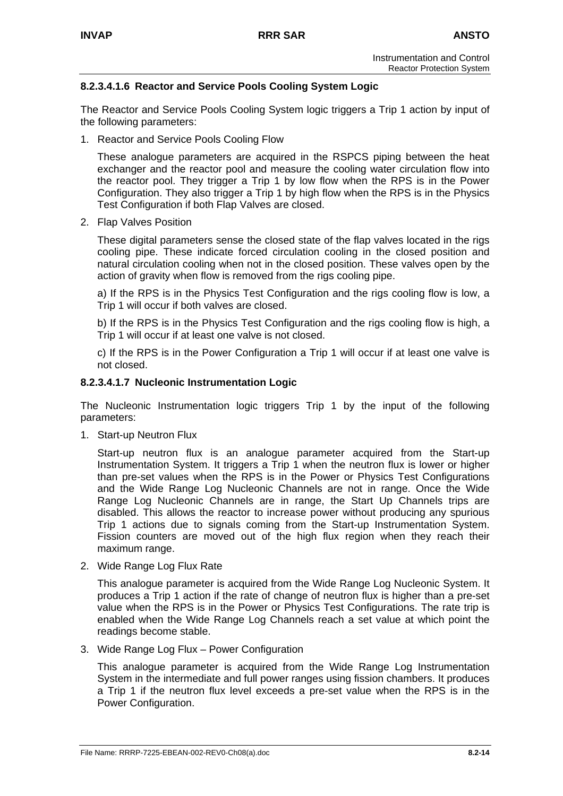## **8.2.3.4.1.6 Reactor and Service Pools Cooling System Logic**

The Reactor and Service Pools Cooling System logic triggers a Trip 1 action by input of the following parameters:

1. Reactor and Service Pools Cooling Flow

These analogue parameters are acquired in the RSPCS piping between the heat exchanger and the reactor pool and measure the cooling water circulation flow into the reactor pool. They trigger a Trip 1 by low flow when the RPS is in the Power Configuration. They also trigger a Trip 1 by high flow when the RPS is in the Physics Test Configuration if both Flap Valves are closed.

2. Flap Valves Position

These digital parameters sense the closed state of the flap valves located in the rigs cooling pipe. These indicate forced circulation cooling in the closed position and natural circulation cooling when not in the closed position. These valves open by the action of gravity when flow is removed from the rigs cooling pipe.

a) If the RPS is in the Physics Test Configuration and the rigs cooling flow is low, a Trip 1 will occur if both valves are closed.

b) If the RPS is in the Physics Test Configuration and the rigs cooling flow is high, a Trip 1 will occur if at least one valve is not closed.

c) If the RPS is in the Power Configuration a Trip 1 will occur if at least one valve is not closed.

## **8.2.3.4.1.7 Nucleonic Instrumentation Logic**

The Nucleonic Instrumentation logic triggers Trip 1 by the input of the following parameters:

1. Start-up Neutron Flux

Start-up neutron flux is an analogue parameter acquired from the Start-up Instrumentation System. It triggers a Trip 1 when the neutron flux is lower or higher than pre-set values when the RPS is in the Power or Physics Test Configurations and the Wide Range Log Nucleonic Channels are not in range. Once the Wide Range Log Nucleonic Channels are in range, the Start Up Channels trips are disabled. This allows the reactor to increase power without producing any spurious Trip 1 actions due to signals coming from the Start-up Instrumentation System. Fission counters are moved out of the high flux region when they reach their maximum range.

2. Wide Range Log Flux Rate

This analogue parameter is acquired from the Wide Range Log Nucleonic System. It produces a Trip 1 action if the rate of change of neutron flux is higher than a pre-set value when the RPS is in the Power or Physics Test Configurations. The rate trip is enabled when the Wide Range Log Channels reach a set value at which point the readings become stable.

3. Wide Range Log Flux – Power Configuration

This analogue parameter is acquired from the Wide Range Log Instrumentation System in the intermediate and full power ranges using fission chambers. It produces a Trip 1 if the neutron flux level exceeds a pre-set value when the RPS is in the Power Configuration.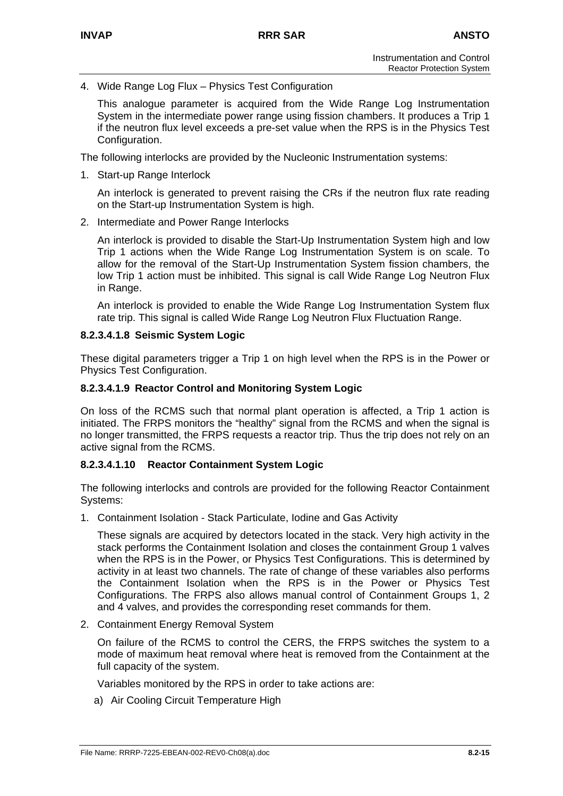4. Wide Range Log Flux – Physics Test Configuration

This analogue parameter is acquired from the Wide Range Log Instrumentation System in the intermediate power range using fission chambers. It produces a Trip 1 if the neutron flux level exceeds a pre-set value when the RPS is in the Physics Test Configuration.

The following interlocks are provided by the Nucleonic Instrumentation systems:

1. Start-up Range Interlock

An interlock is generated to prevent raising the CRs if the neutron flux rate reading on the Start-up Instrumentation System is high.

2. Intermediate and Power Range Interlocks

An interlock is provided to disable the Start-Up Instrumentation System high and low Trip 1 actions when the Wide Range Log Instrumentation System is on scale. To allow for the removal of the Start-Up Instrumentation System fission chambers, the low Trip 1 action must be inhibited. This signal is call Wide Range Log Neutron Flux in Range.

An interlock is provided to enable the Wide Range Log Instrumentation System flux rate trip. This signal is called Wide Range Log Neutron Flux Fluctuation Range.

## **8.2.3.4.1.8 Seismic System Logic**

These digital parameters trigger a Trip 1 on high level when the RPS is in the Power or Physics Test Configuration.

## **8.2.3.4.1.9 Reactor Control and Monitoring System Logic**

On loss of the RCMS such that normal plant operation is affected, a Trip 1 action is initiated. The FRPS monitors the "healthy" signal from the RCMS and when the signal is no longer transmitted, the FRPS requests a reactor trip. Thus the trip does not rely on an active signal from the RCMS.

## **8.2.3.4.1.10 Reactor Containment System Logic**

The following interlocks and controls are provided for the following Reactor Containment Systems:

1. Containment Isolation - Stack Particulate, Iodine and Gas Activity

These signals are acquired by detectors located in the stack. Very high activity in the stack performs the Containment Isolation and closes the containment Group 1 valves when the RPS is in the Power, or Physics Test Configurations. This is determined by activity in at least two channels. The rate of change of these variables also performs the Containment Isolation when the RPS is in the Power or Physics Test Configurations. The FRPS also allows manual control of Containment Groups 1, 2 and 4 valves, and provides the corresponding reset commands for them.

2. Containment Energy Removal System

On failure of the RCMS to control the CERS, the FRPS switches the system to a mode of maximum heat removal where heat is removed from the Containment at the full capacity of the system.

Variables monitored by the RPS in order to take actions are:

a) Air Cooling Circuit Temperature High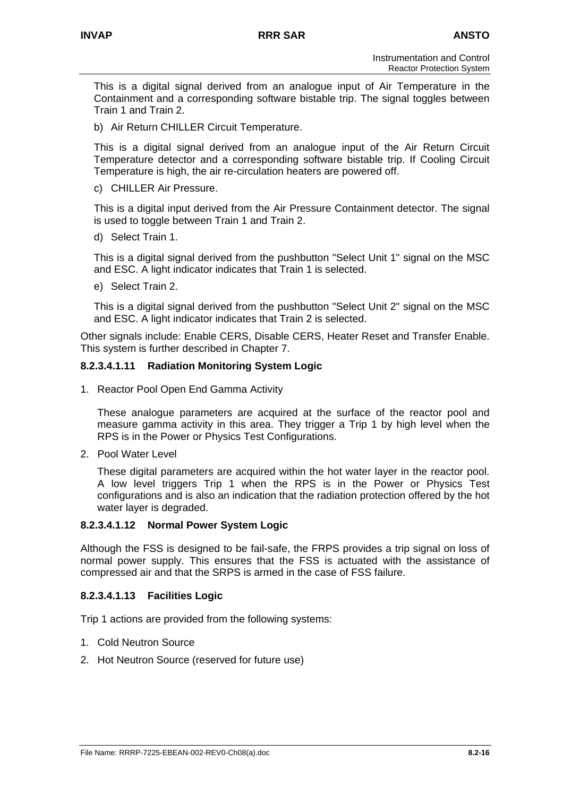This is a digital signal derived from an analogue input of Air Temperature in the Containment and a corresponding software bistable trip. The signal toggles between Train 1 and Train 2.

b) Air Return CHILLER Circuit Temperature.

This is a digital signal derived from an analogue input of the Air Return Circuit Temperature detector and a corresponding software bistable trip. If Cooling Circuit Temperature is high, the air re-circulation heaters are powered off.

c) CHILLER Air Pressure.

This is a digital input derived from the Air Pressure Containment detector. The signal is used to toggle between Train 1 and Train 2.

d) Select Train 1.

This is a digital signal derived from the pushbutton "Select Unit 1" signal on the MSC and ESC. A light indicator indicates that Train 1 is selected.

e) Select Train 2.

This is a digital signal derived from the pushbutton "Select Unit 2" signal on the MSC and ESC. A light indicator indicates that Train 2 is selected.

Other signals include: Enable CERS, Disable CERS, Heater Reset and Transfer Enable. This system is further described in Chapter 7.

#### **8.2.3.4.1.11 Radiation Monitoring System Logic**

1. Reactor Pool Open End Gamma Activity

These analogue parameters are acquired at the surface of the reactor pool and measure gamma activity in this area. They trigger a Trip 1 by high level when the RPS is in the Power or Physics Test Configurations.

2. Pool Water Level

These digital parameters are acquired within the hot water layer in the reactor pool. A low level triggers Trip 1 when the RPS is in the Power or Physics Test configurations and is also an indication that the radiation protection offered by the hot water layer is degraded.

#### **8.2.3.4.1.12 Normal Power System Logic**

Although the FSS is designed to be fail-safe, the FRPS provides a trip signal on loss of normal power supply. This ensures that the FSS is actuated with the assistance of compressed air and that the SRPS is armed in the case of FSS failure.

#### **8.2.3.4.1.13 Facilities Logic**

Trip 1 actions are provided from the following systems:

- 1. Cold Neutron Source
- 2. Hot Neutron Source (reserved for future use)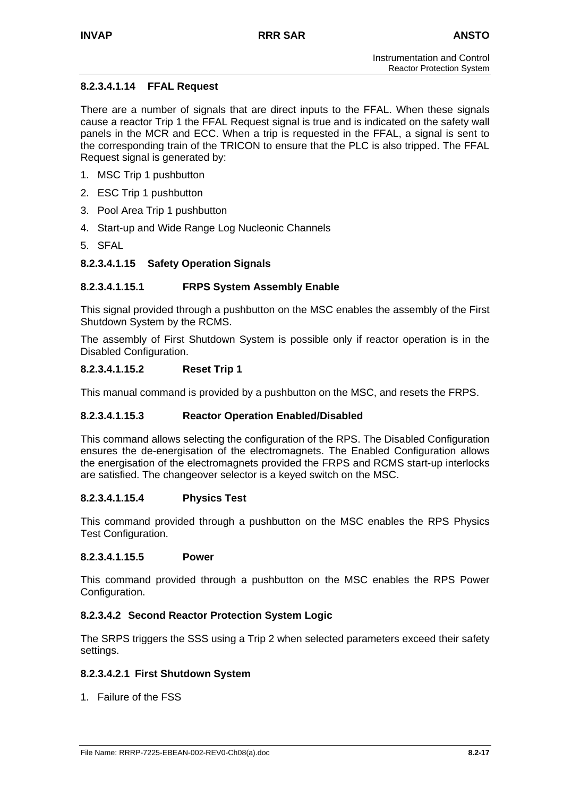## **8.2.3.4.1.14 FFAL Request**

There are a number of signals that are direct inputs to the FFAL. When these signals cause a reactor Trip 1 the FFAL Request signal is true and is indicated on the safety wall panels in the MCR and ECC. When a trip is requested in the FFAL, a signal is sent to the corresponding train of the TRICON to ensure that the PLC is also tripped. The FFAL Request signal is generated by:

- 1. MSC Trip 1 pushbutton
- 2. ESC Trip 1 pushbutton
- 3. Pool Area Trip 1 pushbutton
- 4. Start-up and Wide Range Log Nucleonic Channels
- 5. SFAL

### **8.2.3.4.1.15 Safety Operation Signals**

#### **8.2.3.4.1.15.1 FRPS System Assembly Enable**

This signal provided through a pushbutton on the MSC enables the assembly of the First Shutdown System by the RCMS.

The assembly of First Shutdown System is possible only if reactor operation is in the Disabled Configuration.

#### **8.2.3.4.1.15.2 Reset Trip 1**

This manual command is provided by a pushbutton on the MSC, and resets the FRPS.

#### **8.2.3.4.1.15.3 Reactor Operation Enabled/Disabled**

This command allows selecting the configuration of the RPS. The Disabled Configuration ensures the de-energisation of the electromagnets. The Enabled Configuration allows the energisation of the electromagnets provided the FRPS and RCMS start-up interlocks are satisfied. The changeover selector is a keyed switch on the MSC.

#### **8.2.3.4.1.15.4 Physics Test**

This command provided through a pushbutton on the MSC enables the RPS Physics Test Configuration.

#### **8.2.3.4.1.15.5 Power**

This command provided through a pushbutton on the MSC enables the RPS Power Configuration.

#### **8.2.3.4.2 Second Reactor Protection System Logic**

The SRPS triggers the SSS using a Trip 2 when selected parameters exceed their safety settings.

#### **8.2.3.4.2.1 First Shutdown System**

1. Failure of the FSS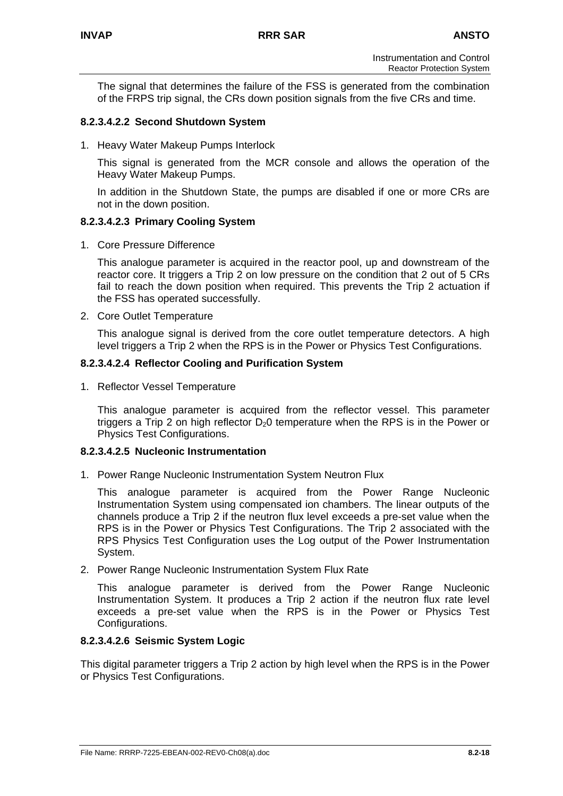The signal that determines the failure of the FSS is generated from the combination of the FRPS trip signal, the CRs down position signals from the five CRs and time.

## **8.2.3.4.2.2 Second Shutdown System**

1. Heavy Water Makeup Pumps Interlock

This signal is generated from the MCR console and allows the operation of the Heavy Water Makeup Pumps.

In addition in the Shutdown State, the pumps are disabled if one or more CRs are not in the down position.

#### **8.2.3.4.2.3 Primary Cooling System**

1. Core Pressure Difference

This analogue parameter is acquired in the reactor pool, up and downstream of the reactor core. It triggers a Trip 2 on low pressure on the condition that 2 out of 5 CRs fail to reach the down position when required. This prevents the Trip 2 actuation if the FSS has operated successfully.

2. Core Outlet Temperature

This analogue signal is derived from the core outlet temperature detectors. A high level triggers a Trip 2 when the RPS is in the Power or Physics Test Configurations.

#### **8.2.3.4.2.4 Reflector Cooling and Purification System**

1. Reflector Vessel Temperature

This analogue parameter is acquired from the reflector vessel. This parameter triggers a Trip 2 on high reflector  $D_2$ 0 temperature when the RPS is in the Power or Physics Test Configurations.

## **8.2.3.4.2.5 Nucleonic Instrumentation**

1. Power Range Nucleonic Instrumentation System Neutron Flux

This analogue parameter is acquired from the Power Range Nucleonic Instrumentation System using compensated ion chambers. The linear outputs of the channels produce a Trip 2 if the neutron flux level exceeds a pre-set value when the RPS is in the Power or Physics Test Configurations. The Trip 2 associated with the RPS Physics Test Configuration uses the Log output of the Power Instrumentation System.

2. Power Range Nucleonic Instrumentation System Flux Rate

This analogue parameter is derived from the Power Range Nucleonic Instrumentation System. It produces a Trip 2 action if the neutron flux rate level exceeds a pre-set value when the RPS is in the Power or Physics Test Configurations.

#### **8.2.3.4.2.6 Seismic System Logic**

This digital parameter triggers a Trip 2 action by high level when the RPS is in the Power or Physics Test Configurations.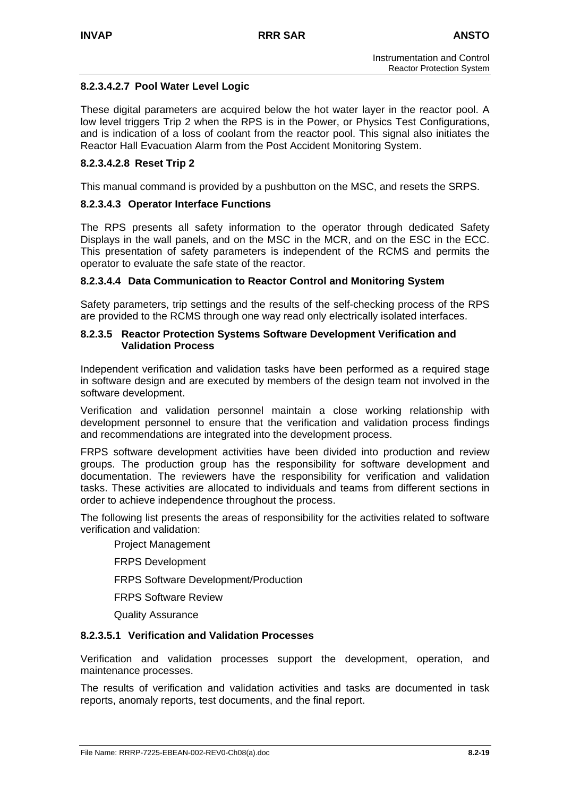## **8.2.3.4.2.7 Pool Water Level Logic**

These digital parameters are acquired below the hot water layer in the reactor pool. A low level triggers Trip 2 when the RPS is in the Power, or Physics Test Configurations, and is indication of a loss of coolant from the reactor pool. This signal also initiates the Reactor Hall Evacuation Alarm from the Post Accident Monitoring System.

## **8.2.3.4.2.8 Reset Trip 2**

This manual command is provided by a pushbutton on the MSC, and resets the SRPS.

## **8.2.3.4.3 Operator Interface Functions**

The RPS presents all safety information to the operator through dedicated Safety Displays in the wall panels, and on the MSC in the MCR, and on the ESC in the ECC. This presentation of safety parameters is independent of the RCMS and permits the operator to evaluate the safe state of the reactor.

## **8.2.3.4.4 Data Communication to Reactor Control and Monitoring System**

Safety parameters, trip settings and the results of the self-checking process of the RPS are provided to the RCMS through one way read only electrically isolated interfaces.

#### **8.2.3.5 Reactor Protection Systems Software Development Verification and Validation Process**

Independent verification and validation tasks have been performed as a required stage in software design and are executed by members of the design team not involved in the software development.

Verification and validation personnel maintain a close working relationship with development personnel to ensure that the verification and validation process findings and recommendations are integrated into the development process.

FRPS software development activities have been divided into production and review groups. The production group has the responsibility for software development and documentation. The reviewers have the responsibility for verification and validation tasks. These activities are allocated to individuals and teams from different sections in order to achieve independence throughout the process.

The following list presents the areas of responsibility for the activities related to software verification and validation:

Project Management

FRPS Development

FRPS Software Development/Production

FRPS Software Review

Quality Assurance

### **8.2.3.5.1 Verification and Validation Processes**

Verification and validation processes support the development, operation, and maintenance processes.

The results of verification and validation activities and tasks are documented in task reports, anomaly reports, test documents, and the final report.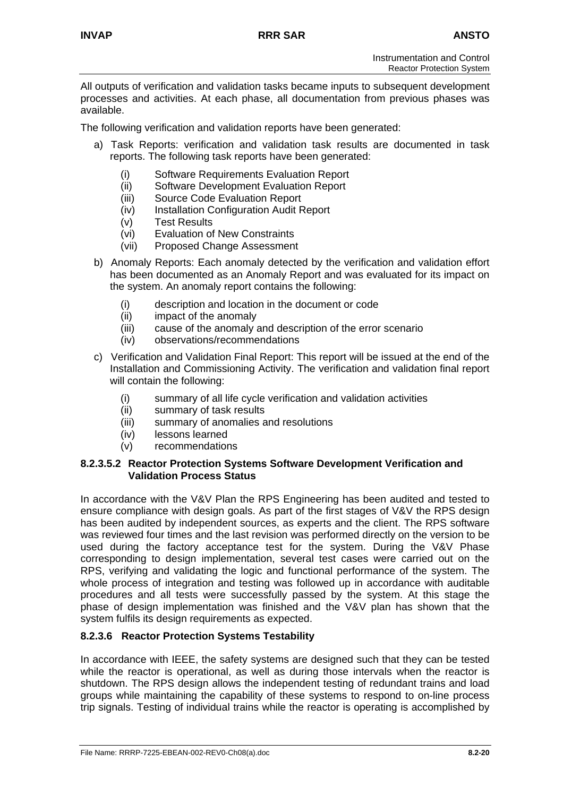All outputs of verification and validation tasks became inputs to subsequent development processes and activities. At each phase, all documentation from previous phases was available.

The following verification and validation reports have been generated:

- a) Task Reports: verification and validation task results are documented in task reports. The following task reports have been generated:
	- (i) Software Requirements Evaluation Report
	- (ii) Software Development Evaluation Report
	- (iii) Source Code Evaluation Report
	- (iv) Installation Configuration Audit Report
	- (v) Test Results
	- (vi) Evaluation of New Constraints
	- (vii) Proposed Change Assessment
- b) Anomaly Reports: Each anomaly detected by the verification and validation effort has been documented as an Anomaly Report and was evaluated for its impact on the system. An anomaly report contains the following:
	- (i) description and location in the document or code
	- (ii) impact of the anomaly
	- (iii) cause of the anomaly and description of the error scenario
	- (iv) observations/recommendations
- c) Verification and Validation Final Report: This report will be issued at the end of the Installation and Commissioning Activity. The verification and validation final report will contain the following:
	- (i) summary of all life cycle verification and validation activities
	- (ii) summary of task results
	- (iii) summary of anomalies and resolutions
	- (iv) lessons learned
	- (v) recommendations

#### **8.2.3.5.2 Reactor Protection Systems Software Development Verification and Validation Process Status**

In accordance with the V&V Plan the RPS Engineering has been audited and tested to ensure compliance with design goals. As part of the first stages of V&V the RPS design has been audited by independent sources, as experts and the client. The RPS software was reviewed four times and the last revision was performed directly on the version to be used during the factory acceptance test for the system. During the V&V Phase corresponding to design implementation, several test cases were carried out on the RPS, verifying and validating the logic and functional performance of the system. The whole process of integration and testing was followed up in accordance with auditable procedures and all tests were successfully passed by the system. At this stage the phase of design implementation was finished and the V&V plan has shown that the system fulfils its design requirements as expected.

## **8.2.3.6 Reactor Protection Systems Testability**

In accordance with IEEE, the safety systems are designed such that they can be tested while the reactor is operational, as well as during those intervals when the reactor is shutdown. The RPS design allows the independent testing of redundant trains and load groups while maintaining the capability of these systems to respond to on-line process trip signals. Testing of individual trains while the reactor is operating is accomplished by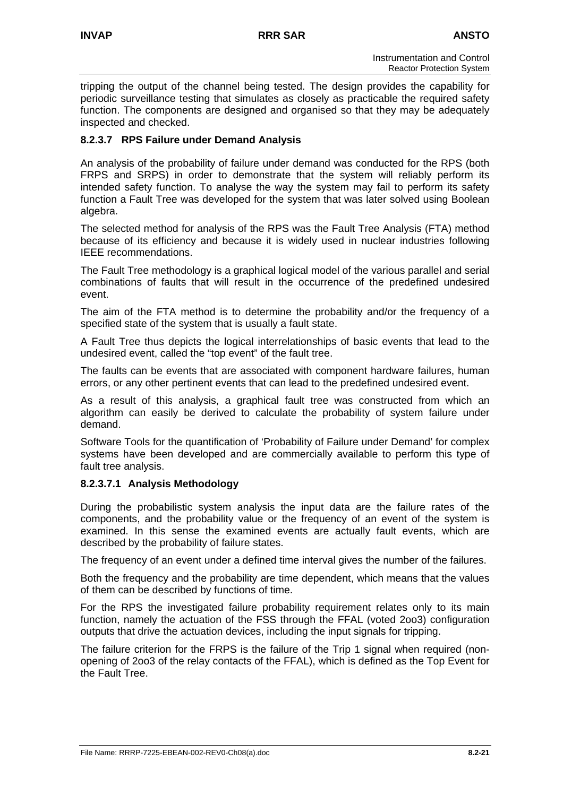tripping the output of the channel being tested. The design provides the capability for periodic surveillance testing that simulates as closely as practicable the required safety function. The components are designed and organised so that they may be adequately inspected and checked.

## **8.2.3.7 RPS Failure under Demand Analysis**

An analysis of the probability of failure under demand was conducted for the RPS (both FRPS and SRPS) in order to demonstrate that the system will reliably perform its intended safety function. To analyse the way the system may fail to perform its safety function a Fault Tree was developed for the system that was later solved using Boolean algebra.

The selected method for analysis of the RPS was the Fault Tree Analysis (FTA) method because of its efficiency and because it is widely used in nuclear industries following IEEE recommendations.

The Fault Tree methodology is a graphical logical model of the various parallel and serial combinations of faults that will result in the occurrence of the predefined undesired event.

The aim of the FTA method is to determine the probability and/or the frequency of a specified state of the system that is usually a fault state.

A Fault Tree thus depicts the logical interrelationships of basic events that lead to the undesired event, called the "top event" of the fault tree.

The faults can be events that are associated with component hardware failures, human errors, or any other pertinent events that can lead to the predefined undesired event.

As a result of this analysis, a graphical fault tree was constructed from which an algorithm can easily be derived to calculate the probability of system failure under demand.

Software Tools for the quantification of 'Probability of Failure under Demand' for complex systems have been developed and are commercially available to perform this type of fault tree analysis.

#### **8.2.3.7.1 Analysis Methodology**

During the probabilistic system analysis the input data are the failure rates of the components, and the probability value or the frequency of an event of the system is examined. In this sense the examined events are actually fault events, which are described by the probability of failure states.

The frequency of an event under a defined time interval gives the number of the failures.

Both the frequency and the probability are time dependent, which means that the values of them can be described by functions of time.

For the RPS the investigated failure probability requirement relates only to its main function, namely the actuation of the FSS through the FFAL (voted 2oo3) configuration outputs that drive the actuation devices, including the input signals for tripping.

The failure criterion for the FRPS is the failure of the Trip 1 signal when required (nonopening of 2oo3 of the relay contacts of the FFAL), which is defined as the Top Event for the Fault Tree.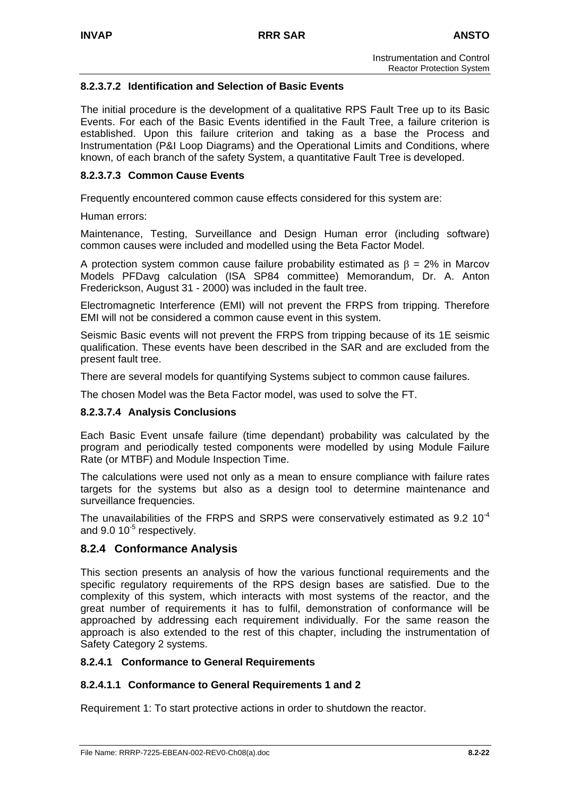## **8.2.3.7.2 Identification and Selection of Basic Events**

The initial procedure is the development of a qualitative RPS Fault Tree up to its Basic Events. For each of the Basic Events identified in the Fault Tree, a failure criterion is established. Upon this failure criterion and taking as a base the Process and Instrumentation (P&I Loop Diagrams) and the Operational Limits and Conditions, where known, of each branch of the safety System, a quantitative Fault Tree is developed.

### **8.2.3.7.3 Common Cause Events**

Frequently encountered common cause effects considered for this system are:

Human errors:

Maintenance, Testing, Surveillance and Design Human error (including software) common causes were included and modelled using the Beta Factor Model.

A protection system common cause failure probability estimated as  $\beta = 2\%$  in Marcov Models PFDavg calculation (ISA SP84 committee) Memorandum, Dr. A. Anton Frederickson, August 31 - 2000) was included in the fault tree.

Electromagnetic Interference (EMI) will not prevent the FRPS from tripping. Therefore EMI will not be considered a common cause event in this system.

Seismic Basic events will not prevent the FRPS from tripping because of its 1E seismic qualification. These events have been described in the SAR and are excluded from the present fault tree.

There are several models for quantifying Systems subject to common cause failures.

The chosen Model was the Beta Factor model, was used to solve the FT.

#### **8.2.3.7.4 Analysis Conclusions**

Each Basic Event unsafe failure (time dependant) probability was calculated by the program and periodically tested components were modelled by using Module Failure Rate (or MTBF) and Module Inspection Time.

The calculations were used not only as a mean to ensure compliance with failure rates targets for the systems but also as a design tool to determine maintenance and surveillance frequencies.

The unavailabilities of the FRPS and SRPS were conservatively estimated as  $9.2 \times 10^{-4}$ and 9.0 10<sup>-5</sup> respectively.

#### **8.2.4 Conformance Analysis**

This section presents an analysis of how the various functional requirements and the specific regulatory requirements of the RPS design bases are satisfied. Due to the complexity of this system, which interacts with most systems of the reactor, and the great number of requirements it has to fulfil, demonstration of conformance will be approached by addressing each requirement individually. For the same reason the approach is also extended to the rest of this chapter, including the instrumentation of Safety Category 2 systems.

#### **8.2.4.1 Conformance to General Requirements**

#### **8.2.4.1.1 Conformance to General Requirements 1 and 2**

Requirement 1: To start protective actions in order to shutdown the reactor.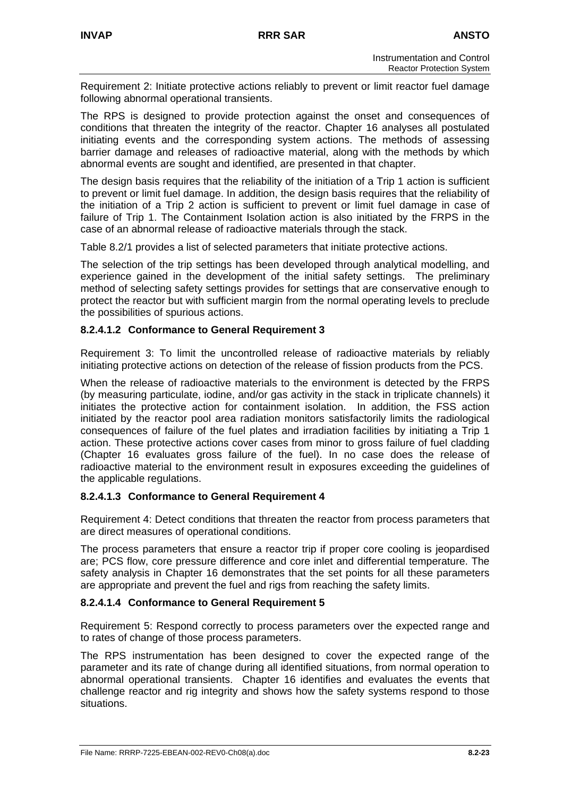Requirement 2: Initiate protective actions reliably to prevent or limit reactor fuel damage following abnormal operational transients.

The RPS is designed to provide protection against the onset and consequences of conditions that threaten the integrity of the reactor. Chapter 16 analyses all postulated initiating events and the corresponding system actions. The methods of assessing barrier damage and releases of radioactive material, along with the methods by which abnormal events are sought and identified, are presented in that chapter.

The design basis requires that the reliability of the initiation of a Trip 1 action is sufficient to prevent or limit fuel damage. In addition, the design basis requires that the reliability of the initiation of a Trip 2 action is sufficient to prevent or limit fuel damage in case of failure of Trip 1. The Containment Isolation action is also initiated by the FRPS in the case of an abnormal release of radioactive materials through the stack.

Table 8.2/1 provides a list of selected parameters that initiate protective actions.

The selection of the trip settings has been developed through analytical modelling, and experience gained in the development of the initial safety settings. The preliminary method of selecting safety settings provides for settings that are conservative enough to protect the reactor but with sufficient margin from the normal operating levels to preclude the possibilities of spurious actions.

#### **8.2.4.1.2 Conformance to General Requirement 3**

Requirement 3: To limit the uncontrolled release of radioactive materials by reliably initiating protective actions on detection of the release of fission products from the PCS.

When the release of radioactive materials to the environment is detected by the FRPS (by measuring particulate, iodine, and/or gas activity in the stack in triplicate channels) it initiates the protective action for containment isolation. In addition, the FSS action initiated by the reactor pool area radiation monitors satisfactorily limits the radiological consequences of failure of the fuel plates and irradiation facilities by initiating a Trip 1 action. These protective actions cover cases from minor to gross failure of fuel cladding (Chapter 16 evaluates gross failure of the fuel). In no case does the release of radioactive material to the environment result in exposures exceeding the guidelines of the applicable regulations.

#### **8.2.4.1.3 Conformance to General Requirement 4**

Requirement 4: Detect conditions that threaten the reactor from process parameters that are direct measures of operational conditions.

The process parameters that ensure a reactor trip if proper core cooling is jeopardised are; PCS flow, core pressure difference and core inlet and differential temperature. The safety analysis in Chapter 16 demonstrates that the set points for all these parameters are appropriate and prevent the fuel and rigs from reaching the safety limits.

## **8.2.4.1.4 Conformance to General Requirement 5**

Requirement 5: Respond correctly to process parameters over the expected range and to rates of change of those process parameters.

The RPS instrumentation has been designed to cover the expected range of the parameter and its rate of change during all identified situations, from normal operation to abnormal operational transients. Chapter 16 identifies and evaluates the events that challenge reactor and rig integrity and shows how the safety systems respond to those situations.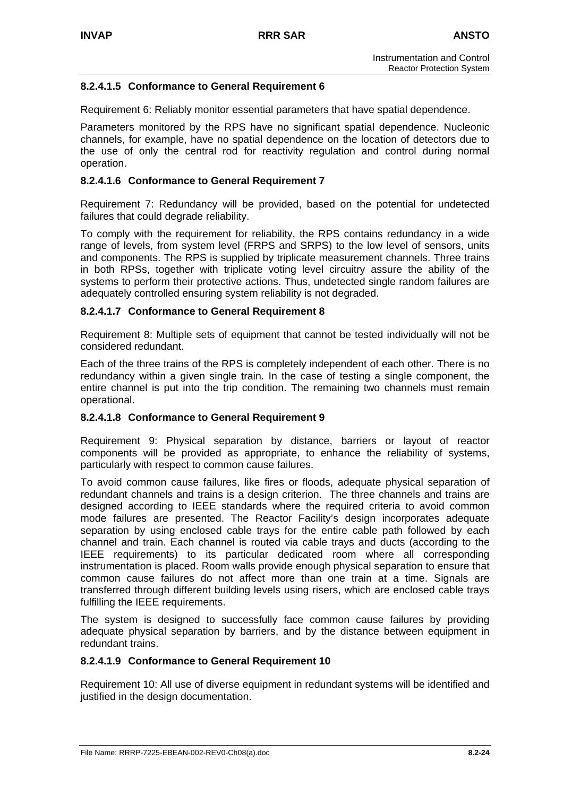## **8.2.4.1.5 Conformance to General Requirement 6**

Requirement 6: Reliably monitor essential parameters that have spatial dependence.

Parameters monitored by the RPS have no significant spatial dependence. Nucleonic channels, for example, have no spatial dependence on the location of detectors due to the use of only the central rod for reactivity regulation and control during normal operation.

#### **8.2.4.1.6 Conformance to General Requirement 7**

Requirement 7: Redundancy will be provided, based on the potential for undetected failures that could degrade reliability.

To comply with the requirement for reliability, the RPS contains redundancy in a wide range of levels, from system level (FRPS and SRPS) to the low level of sensors, units and components. The RPS is supplied by triplicate measurement channels. Three trains in both RPSs, together with triplicate voting level circuitry assure the ability of the systems to perform their protective actions. Thus, undetected single random failures are adequately controlled ensuring system reliability is not degraded.

#### **8.2.4.1.7 Conformance to General Requirement 8**

Requirement 8: Multiple sets of equipment that cannot be tested individually will not be considered redundant.

Each of the three trains of the RPS is completely independent of each other. There is no redundancy within a given single train. In the case of testing a single component, the entire channel is put into the trip condition. The remaining two channels must remain operational.

#### **8.2.4.1.8 Conformance to General Requirement 9**

Requirement 9: Physical separation by distance, barriers or layout of reactor components will be provided as appropriate, to enhance the reliability of systems, particularly with respect to common cause failures.

To avoid common cause failures, like fires or floods, adequate physical separation of redundant channels and trains is a design criterion. The three channels and trains are designed according to IEEE standards where the required criteria to avoid common mode failures are presented. The Reactor Facility's design incorporates adequate separation by using enclosed cable trays for the entire cable path followed by each channel and train. Each channel is routed via cable trays and ducts (according to the IEEE requirements) to its particular dedicated room where all corresponding instrumentation is placed. Room walls provide enough physical separation to ensure that common cause failures do not affect more than one train at a time. Signals are transferred through different building levels using risers, which are enclosed cable trays fulfilling the IEEE requirements.

The system is designed to successfully face common cause failures by providing adequate physical separation by barriers, and by the distance between equipment in redundant trains.

#### **8.2.4.1.9 Conformance to General Requirement 10**

Requirement 10: All use of diverse equipment in redundant systems will be identified and justified in the design documentation.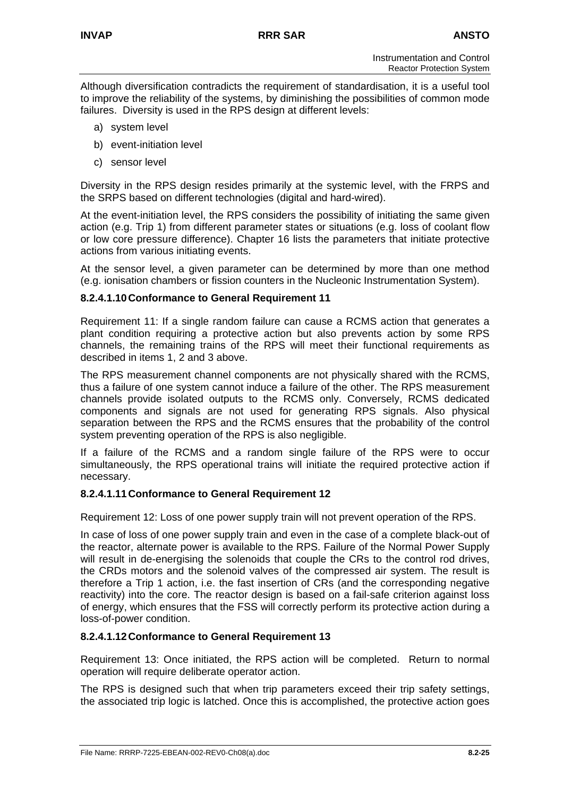Although diversification contradicts the requirement of standardisation, it is a useful tool to improve the reliability of the systems, by diminishing the possibilities of common mode failures. Diversity is used in the RPS design at different levels:

- a) system level
- b) event-initiation level
- c) sensor level

Diversity in the RPS design resides primarily at the systemic level, with the FRPS and the SRPS based on different technologies (digital and hard-wired).

At the event-initiation level, the RPS considers the possibility of initiating the same given action (e.g. Trip 1) from different parameter states or situations (e.g. loss of coolant flow or low core pressure difference). Chapter 16 lists the parameters that initiate protective actions from various initiating events.

At the sensor level, a given parameter can be determined by more than one method (e.g. ionisation chambers or fission counters in the Nucleonic Instrumentation System).

#### **8.2.4.1.10 Conformance to General Requirement 11**

Requirement 11: If a single random failure can cause a RCMS action that generates a plant condition requiring a protective action but also prevents action by some RPS channels, the remaining trains of the RPS will meet their functional requirements as described in items 1, 2 and 3 above.

The RPS measurement channel components are not physically shared with the RCMS, thus a failure of one system cannot induce a failure of the other. The RPS measurement channels provide isolated outputs to the RCMS only. Conversely, RCMS dedicated components and signals are not used for generating RPS signals. Also physical separation between the RPS and the RCMS ensures that the probability of the control system preventing operation of the RPS is also negligible.

If a failure of the RCMS and a random single failure of the RPS were to occur simultaneously, the RPS operational trains will initiate the required protective action if necessary.

#### **8.2.4.1.11 Conformance to General Requirement 12**

Requirement 12: Loss of one power supply train will not prevent operation of the RPS.

In case of loss of one power supply train and even in the case of a complete black-out of the reactor, alternate power is available to the RPS. Failure of the Normal Power Supply will result in de-energising the solenoids that couple the CRs to the control rod drives, the CRDs motors and the solenoid valves of the compressed air system. The result is therefore a Trip 1 action, i.e. the fast insertion of CRs (and the corresponding negative reactivity) into the core. The reactor design is based on a fail-safe criterion against loss of energy, which ensures that the FSS will correctly perform its protective action during a loss-of-power condition.

## **8.2.4.1.12 Conformance to General Requirement 13**

Requirement 13: Once initiated, the RPS action will be completed. Return to normal operation will require deliberate operator action.

The RPS is designed such that when trip parameters exceed their trip safety settings, the associated trip logic is latched. Once this is accomplished, the protective action goes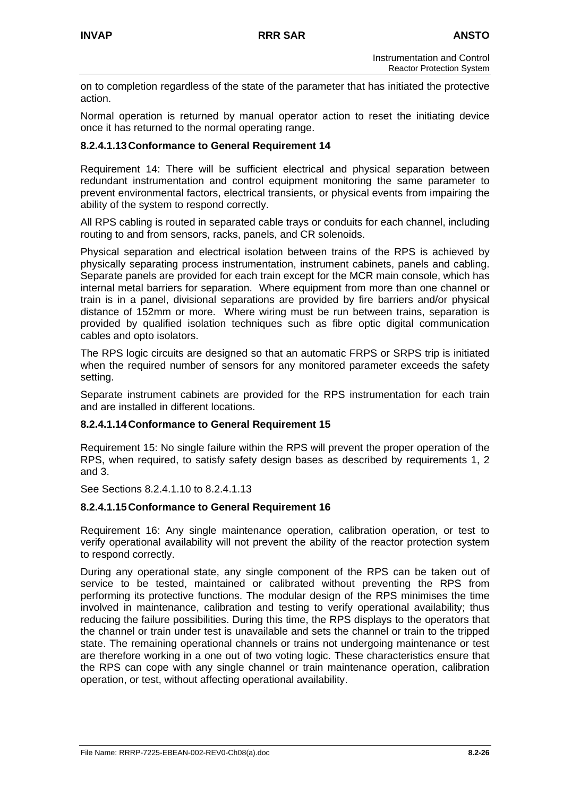on to completion regardless of the state of the parameter that has initiated the protective action.

Normal operation is returned by manual operator action to reset the initiating device once it has returned to the normal operating range.

### **8.2.4.1.13 Conformance to General Requirement 14**

Requirement 14: There will be sufficient electrical and physical separation between redundant instrumentation and control equipment monitoring the same parameter to prevent environmental factors, electrical transients, or physical events from impairing the ability of the system to respond correctly.

All RPS cabling is routed in separated cable trays or conduits for each channel, including routing to and from sensors, racks, panels, and CR solenoids.

Physical separation and electrical isolation between trains of the RPS is achieved by physically separating process instrumentation, instrument cabinets, panels and cabling. Separate panels are provided for each train except for the MCR main console, which has internal metal barriers for separation. Where equipment from more than one channel or train is in a panel, divisional separations are provided by fire barriers and/or physical distance of 152mm or more. Where wiring must be run between trains, separation is provided by qualified isolation techniques such as fibre optic digital communication cables and opto isolators.

The RPS logic circuits are designed so that an automatic FRPS or SRPS trip is initiated when the required number of sensors for any monitored parameter exceeds the safety setting.

Separate instrument cabinets are provided for the RPS instrumentation for each train and are installed in different locations.

#### **8.2.4.1.14 Conformance to General Requirement 15**

Requirement 15: No single failure within the RPS will prevent the proper operation of the RPS, when required, to satisfy safety design bases as described by requirements 1, 2 and 3.

See Sections 8.2.4.1.10 to 8.2.4.1.13

#### **8.2.4.1.15 Conformance to General Requirement 16**

Requirement 16: Any single maintenance operation, calibration operation, or test to verify operational availability will not prevent the ability of the reactor protection system to respond correctly.

During any operational state, any single component of the RPS can be taken out of service to be tested, maintained or calibrated without preventing the RPS from performing its protective functions. The modular design of the RPS minimises the time involved in maintenance, calibration and testing to verify operational availability; thus reducing the failure possibilities. During this time, the RPS displays to the operators that the channel or train under test is unavailable and sets the channel or train to the tripped state. The remaining operational channels or trains not undergoing maintenance or test are therefore working in a one out of two voting logic. These characteristics ensure that the RPS can cope with any single channel or train maintenance operation, calibration operation, or test, without affecting operational availability.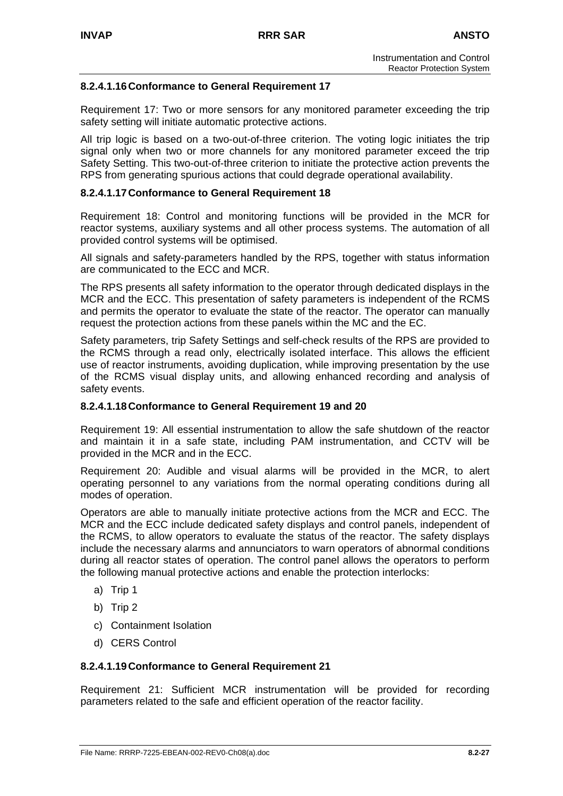## **8.2.4.1.16 Conformance to General Requirement 17**

Requirement 17: Two or more sensors for any monitored parameter exceeding the trip safety setting will initiate automatic protective actions.

All trip logic is based on a two-out-of-three criterion. The voting logic initiates the trip signal only when two or more channels for any monitored parameter exceed the trip Safety Setting. This two-out-of-three criterion to initiate the protective action prevents the RPS from generating spurious actions that could degrade operational availability.

### **8.2.4.1.17 Conformance to General Requirement 18**

Requirement 18: Control and monitoring functions will be provided in the MCR for reactor systems, auxiliary systems and all other process systems. The automation of all provided control systems will be optimised.

All signals and safety-parameters handled by the RPS, together with status information are communicated to the ECC and MCR.

The RPS presents all safety information to the operator through dedicated displays in the MCR and the ECC. This presentation of safety parameters is independent of the RCMS and permits the operator to evaluate the state of the reactor. The operator can manually request the protection actions from these panels within the MC and the EC.

Safety parameters, trip Safety Settings and self-check results of the RPS are provided to the RCMS through a read only, electrically isolated interface. This allows the efficient use of reactor instruments, avoiding duplication, while improving presentation by the use of the RCMS visual display units, and allowing enhanced recording and analysis of safety events.

#### **8.2.4.1.18 Conformance to General Requirement 19 and 20**

Requirement 19: All essential instrumentation to allow the safe shutdown of the reactor and maintain it in a safe state, including PAM instrumentation, and CCTV will be provided in the MCR and in the ECC.

Requirement 20: Audible and visual alarms will be provided in the MCR, to alert operating personnel to any variations from the normal operating conditions during all modes of operation.

Operators are able to manually initiate protective actions from the MCR and ECC. The MCR and the ECC include dedicated safety displays and control panels, independent of the RCMS, to allow operators to evaluate the status of the reactor. The safety displays include the necessary alarms and annunciators to warn operators of abnormal conditions during all reactor states of operation. The control panel allows the operators to perform the following manual protective actions and enable the protection interlocks:

- a) Trip 1
- b) Trip 2
- c) Containment Isolation
- d) CERS Control

#### **8.2.4.1.19 Conformance to General Requirement 21**

Requirement 21: Sufficient MCR instrumentation will be provided for recording parameters related to the safe and efficient operation of the reactor facility.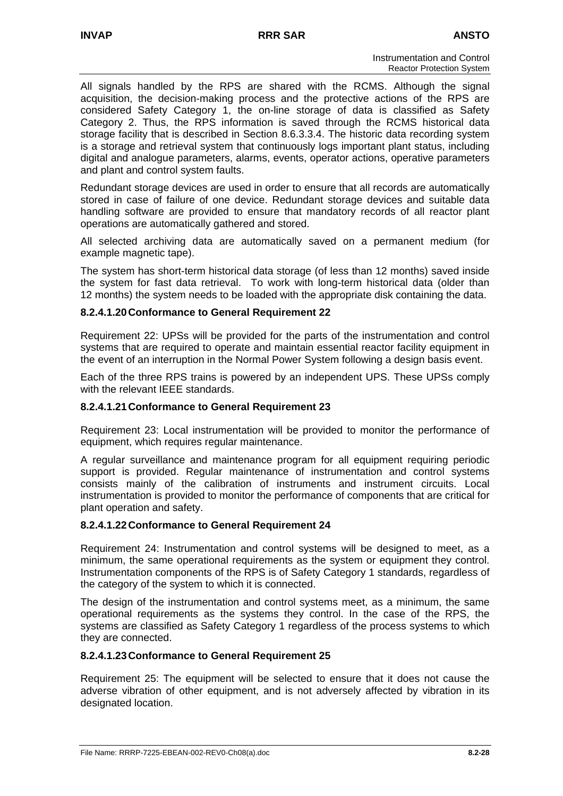All signals handled by the RPS are shared with the RCMS. Although the signal acquisition, the decision-making process and the protective actions of the RPS are considered Safety Category 1, the on-line storage of data is classified as Safety Category 2. Thus, the RPS information is saved through the RCMS historical data storage facility that is described in Section 8.6.3.3.4. The historic data recording system is a storage and retrieval system that continuously logs important plant status, including digital and analogue parameters, alarms, events, operator actions, operative parameters and plant and control system faults.

Redundant storage devices are used in order to ensure that all records are automatically stored in case of failure of one device. Redundant storage devices and suitable data handling software are provided to ensure that mandatory records of all reactor plant operations are automatically gathered and stored.

All selected archiving data are automatically saved on a permanent medium (for example magnetic tape).

The system has short-term historical data storage (of less than 12 months) saved inside the system for fast data retrieval. To work with long-term historical data (older than 12 months) the system needs to be loaded with the appropriate disk containing the data.

## **8.2.4.1.20 Conformance to General Requirement 22**

Requirement 22: UPSs will be provided for the parts of the instrumentation and control systems that are required to operate and maintain essential reactor facility equipment in the event of an interruption in the Normal Power System following a design basis event.

Each of the three RPS trains is powered by an independent UPS. These UPSs comply with the relevant IEEE standards.

#### **8.2.4.1.21 Conformance to General Requirement 23**

Requirement 23: Local instrumentation will be provided to monitor the performance of equipment, which requires regular maintenance.

A regular surveillance and maintenance program for all equipment requiring periodic support is provided. Regular maintenance of instrumentation and control systems consists mainly of the calibration of instruments and instrument circuits. Local instrumentation is provided to monitor the performance of components that are critical for plant operation and safety.

#### **8.2.4.1.22 Conformance to General Requirement 24**

Requirement 24: Instrumentation and control systems will be designed to meet, as a minimum, the same operational requirements as the system or equipment they control. Instrumentation components of the RPS is of Safety Category 1 standards, regardless of the category of the system to which it is connected.

The design of the instrumentation and control systems meet, as a minimum, the same operational requirements as the systems they control. In the case of the RPS, the systems are classified as Safety Category 1 regardless of the process systems to which they are connected.

## **8.2.4.1.23 Conformance to General Requirement 25**

Requirement 25: The equipment will be selected to ensure that it does not cause the adverse vibration of other equipment, and is not adversely affected by vibration in its designated location.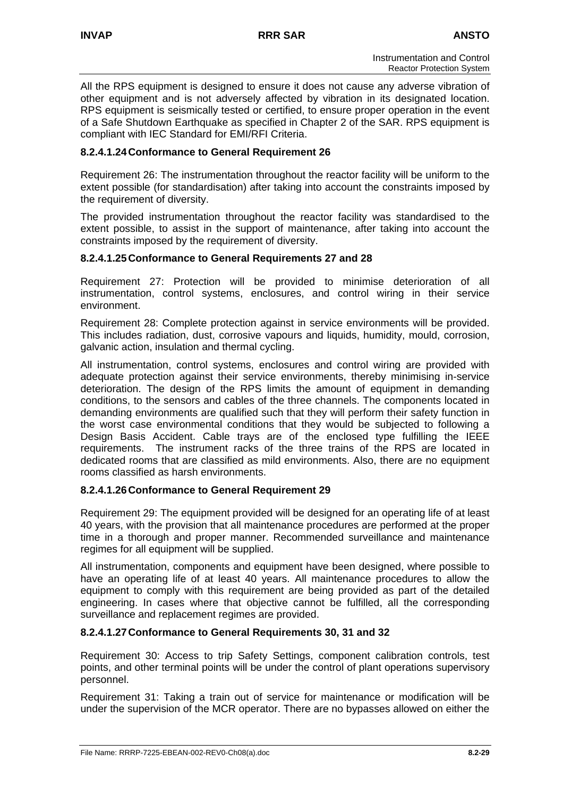All the RPS equipment is designed to ensure it does not cause any adverse vibration of other equipment and is not adversely affected by vibration in its designated location. RPS equipment is seismically tested or certified, to ensure proper operation in the event of a Safe Shutdown Earthquake as specified in Chapter 2 of the SAR. RPS equipment is compliant with IEC Standard for EMI/RFI Criteria.

## **8.2.4.1.24 Conformance to General Requirement 26**

Requirement 26: The instrumentation throughout the reactor facility will be uniform to the extent possible (for standardisation) after taking into account the constraints imposed by the requirement of diversity.

The provided instrumentation throughout the reactor facility was standardised to the extent possible, to assist in the support of maintenance, after taking into account the constraints imposed by the requirement of diversity.

## **8.2.4.1.25 Conformance to General Requirements 27 and 28**

Requirement 27: Protection will be provided to minimise deterioration of all instrumentation, control systems, enclosures, and control wiring in their service environment.

Requirement 28: Complete protection against in service environments will be provided. This includes radiation, dust, corrosive vapours and liquids, humidity, mould, corrosion, galvanic action, insulation and thermal cycling.

All instrumentation, control systems, enclosures and control wiring are provided with adequate protection against their service environments, thereby minimising in-service deterioration. The design of the RPS limits the amount of equipment in demanding conditions, to the sensors and cables of the three channels. The components located in demanding environments are qualified such that they will perform their safety function in the worst case environmental conditions that they would be subjected to following a Design Basis Accident. Cable trays are of the enclosed type fulfilling the IEEE requirements. The instrument racks of the three trains of the RPS are located in dedicated rooms that are classified as mild environments. Also, there are no equipment rooms classified as harsh environments.

#### **8.2.4.1.26 Conformance to General Requirement 29**

Requirement 29: The equipment provided will be designed for an operating life of at least 40 years, with the provision that all maintenance procedures are performed at the proper time in a thorough and proper manner. Recommended surveillance and maintenance regimes for all equipment will be supplied.

All instrumentation, components and equipment have been designed, where possible to have an operating life of at least 40 years. All maintenance procedures to allow the equipment to comply with this requirement are being provided as part of the detailed engineering. In cases where that objective cannot be fulfilled, all the corresponding surveillance and replacement regimes are provided.

#### **8.2.4.1.27 Conformance to General Requirements 30, 31 and 32**

Requirement 30: Access to trip Safety Settings, component calibration controls, test points, and other terminal points will be under the control of plant operations supervisory personnel.

Requirement 31: Taking a train out of service for maintenance or modification will be under the supervision of the MCR operator. There are no bypasses allowed on either the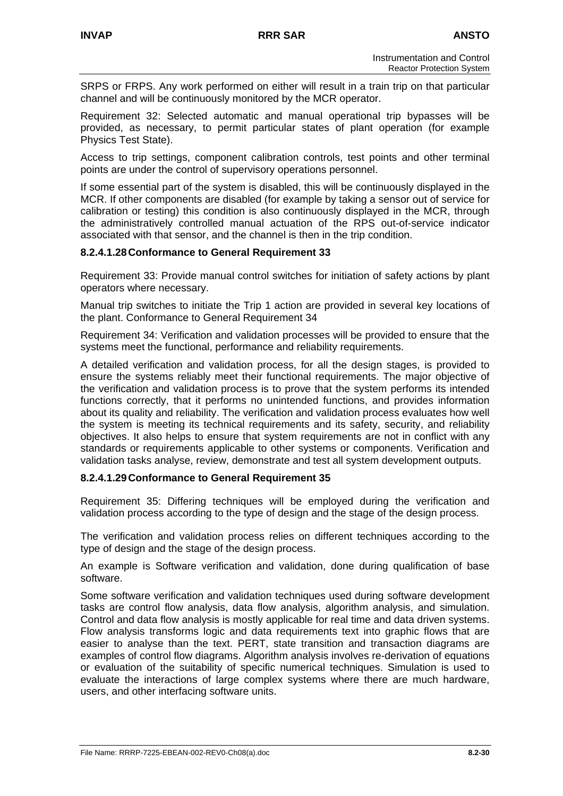SRPS or FRPS. Any work performed on either will result in a train trip on that particular channel and will be continuously monitored by the MCR operator.

Requirement 32: Selected automatic and manual operational trip bypasses will be provided, as necessary, to permit particular states of plant operation (for example Physics Test State).

Access to trip settings, component calibration controls, test points and other terminal points are under the control of supervisory operations personnel.

If some essential part of the system is disabled, this will be continuously displayed in the MCR. If other components are disabled (for example by taking a sensor out of service for calibration or testing) this condition is also continuously displayed in the MCR, through the administratively controlled manual actuation of the RPS out-of-service indicator associated with that sensor, and the channel is then in the trip condition.

## **8.2.4.1.28 Conformance to General Requirement 33**

Requirement 33: Provide manual control switches for initiation of safety actions by plant operators where necessary.

Manual trip switches to initiate the Trip 1 action are provided in several key locations of the plant. Conformance to General Requirement 34

Requirement 34: Verification and validation processes will be provided to ensure that the systems meet the functional, performance and reliability requirements.

A detailed verification and validation process, for all the design stages, is provided to ensure the systems reliably meet their functional requirements. The major objective of the verification and validation process is to prove that the system performs its intended functions correctly, that it performs no unintended functions, and provides information about its quality and reliability. The verification and validation process evaluates how well the system is meeting its technical requirements and its safety, security, and reliability objectives. It also helps to ensure that system requirements are not in conflict with any standards or requirements applicable to other systems or components. Verification and validation tasks analyse, review, demonstrate and test all system development outputs.

#### **8.2.4.1.29 Conformance to General Requirement 35**

Requirement 35: Differing techniques will be employed during the verification and validation process according to the type of design and the stage of the design process.

The verification and validation process relies on different techniques according to the type of design and the stage of the design process.

An example is Software verification and validation, done during qualification of base software.

Some software verification and validation techniques used during software development tasks are control flow analysis, data flow analysis, algorithm analysis, and simulation. Control and data flow analysis is mostly applicable for real time and data driven systems. Flow analysis transforms logic and data requirements text into graphic flows that are easier to analyse than the text. PERT, state transition and transaction diagrams are examples of control flow diagrams. Algorithm analysis involves re-derivation of equations or evaluation of the suitability of specific numerical techniques. Simulation is used to evaluate the interactions of large complex systems where there are much hardware, users, and other interfacing software units.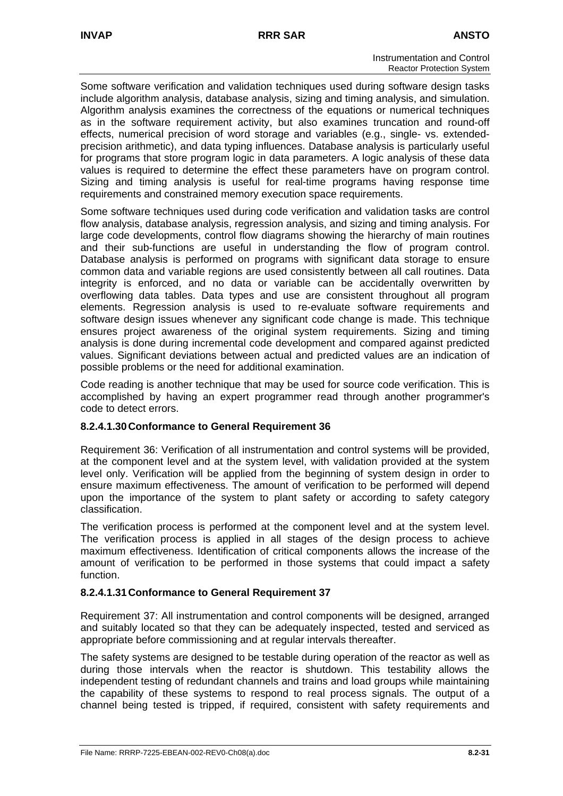Some software verification and validation techniques used during software design tasks include algorithm analysis, database analysis, sizing and timing analysis, and simulation. Algorithm analysis examines the correctness of the equations or numerical techniques as in the software requirement activity, but also examines truncation and round-off effects, numerical precision of word storage and variables (e.g., single- vs. extendedprecision arithmetic), and data typing influences. Database analysis is particularly useful for programs that store program logic in data parameters. A logic analysis of these data values is required to determine the effect these parameters have on program control. Sizing and timing analysis is useful for real-time programs having response time requirements and constrained memory execution space requirements.

Some software techniques used during code verification and validation tasks are control flow analysis, database analysis, regression analysis, and sizing and timing analysis. For large code developments, control flow diagrams showing the hierarchy of main routines and their sub-functions are useful in understanding the flow of program control. Database analysis is performed on programs with significant data storage to ensure common data and variable regions are used consistently between all call routines. Data integrity is enforced, and no data or variable can be accidentally overwritten by overflowing data tables. Data types and use are consistent throughout all program elements. Regression analysis is used to re-evaluate software requirements and software design issues whenever any significant code change is made. This technique ensures project awareness of the original system requirements. Sizing and timing analysis is done during incremental code development and compared against predicted values. Significant deviations between actual and predicted values are an indication of possible problems or the need for additional examination.

Code reading is another technique that may be used for source code verification. This is accomplished by having an expert programmer read through another programmer's code to detect errors.

## **8.2.4.1.30 Conformance to General Requirement 36**

Requirement 36: Verification of all instrumentation and control systems will be provided, at the component level and at the system level, with validation provided at the system level only. Verification will be applied from the beginning of system design in order to ensure maximum effectiveness. The amount of verification to be performed will depend upon the importance of the system to plant safety or according to safety category classification.

The verification process is performed at the component level and at the system level. The verification process is applied in all stages of the design process to achieve maximum effectiveness. Identification of critical components allows the increase of the amount of verification to be performed in those systems that could impact a safety function.

## **8.2.4.1.31 Conformance to General Requirement 37**

Requirement 37: All instrumentation and control components will be designed, arranged and suitably located so that they can be adequately inspected, tested and serviced as appropriate before commissioning and at regular intervals thereafter.

The safety systems are designed to be testable during operation of the reactor as well as during those intervals when the reactor is shutdown. This testability allows the independent testing of redundant channels and trains and load groups while maintaining the capability of these systems to respond to real process signals. The output of a channel being tested is tripped, if required, consistent with safety requirements and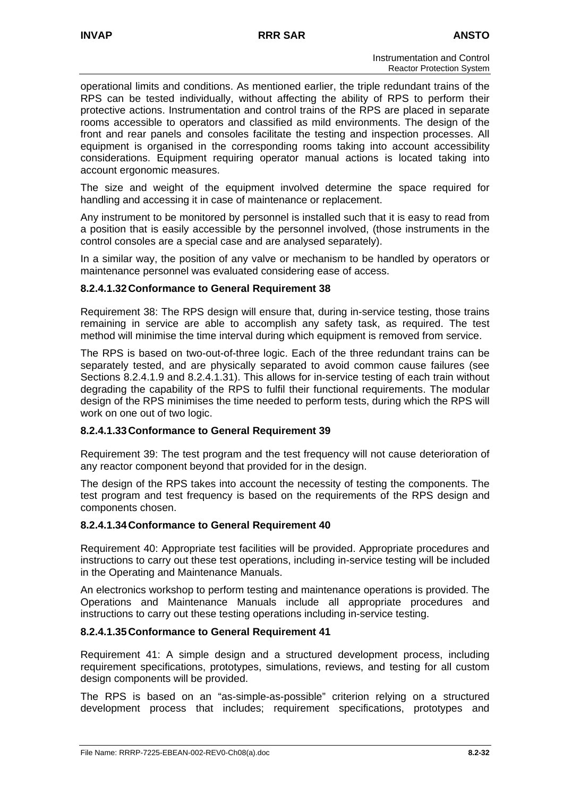operational limits and conditions. As mentioned earlier, the triple redundant trains of the RPS can be tested individually, without affecting the ability of RPS to perform their protective actions. Instrumentation and control trains of the RPS are placed in separate rooms accessible to operators and classified as mild environments. The design of the front and rear panels and consoles facilitate the testing and inspection processes. All equipment is organised in the corresponding rooms taking into account accessibility considerations. Equipment requiring operator manual actions is located taking into account ergonomic measures.

The size and weight of the equipment involved determine the space required for handling and accessing it in case of maintenance or replacement.

Any instrument to be monitored by personnel is installed such that it is easy to read from a position that is easily accessible by the personnel involved, (those instruments in the control consoles are a special case and are analysed separately).

In a similar way, the position of any valve or mechanism to be handled by operators or maintenance personnel was evaluated considering ease of access.

## **8.2.4.1.32 Conformance to General Requirement 38**

Requirement 38: The RPS design will ensure that, during in-service testing, those trains remaining in service are able to accomplish any safety task, as required. The test method will minimise the time interval during which equipment is removed from service.

The RPS is based on two-out-of-three logic. Each of the three redundant trains can be separately tested, and are physically separated to avoid common cause failures (see Sections 8.2.4.1.9 and 8.2.4.1.31). This allows for in-service testing of each train without degrading the capability of the RPS to fulfil their functional requirements. The modular design of the RPS minimises the time needed to perform tests, during which the RPS will work on one out of two logic.

#### **8.2.4.1.33 Conformance to General Requirement 39**

Requirement 39: The test program and the test frequency will not cause deterioration of any reactor component beyond that provided for in the design.

The design of the RPS takes into account the necessity of testing the components. The test program and test frequency is based on the requirements of the RPS design and components chosen.

#### **8.2.4.1.34 Conformance to General Requirement 40**

Requirement 40: Appropriate test facilities will be provided. Appropriate procedures and instructions to carry out these test operations, including in-service testing will be included in the Operating and Maintenance Manuals.

An electronics workshop to perform testing and maintenance operations is provided. The Operations and Maintenance Manuals include all appropriate procedures and instructions to carry out these testing operations including in-service testing.

## **8.2.4.1.35 Conformance to General Requirement 41**

Requirement 41: A simple design and a structured development process, including requirement specifications, prototypes, simulations, reviews, and testing for all custom design components will be provided.

The RPS is based on an "as-simple-as-possible" criterion relying on a structured development process that includes; requirement specifications, prototypes and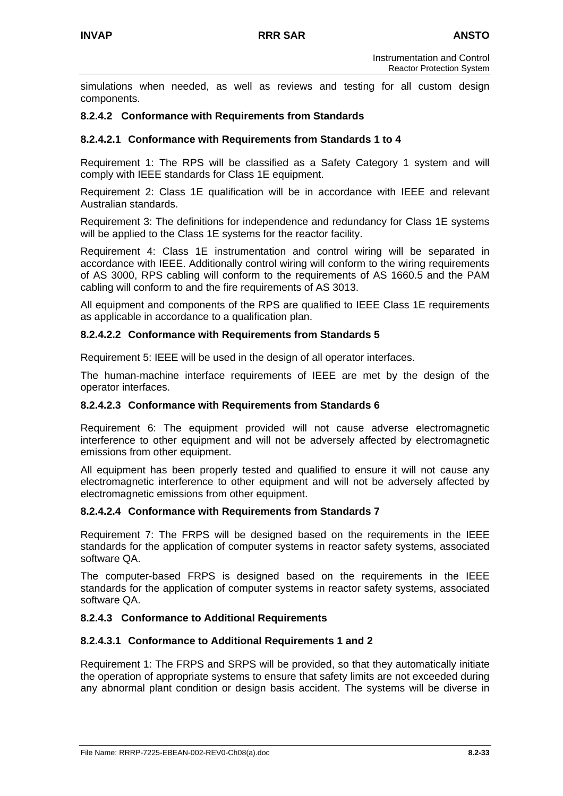simulations when needed, as well as reviews and testing for all custom design components.

## **8.2.4.2 Conformance with Requirements from Standards**

#### **8.2.4.2.1 Conformance with Requirements from Standards 1 to 4**

Requirement 1: The RPS will be classified as a Safety Category 1 system and will comply with IEEE standards for Class 1E equipment.

Requirement 2: Class 1E qualification will be in accordance with IEEE and relevant Australian standards.

Requirement 3: The definitions for independence and redundancy for Class 1E systems will be applied to the Class 1E systems for the reactor facility.

Requirement 4: Class 1E instrumentation and control wiring will be separated in accordance with IEEE. Additionally control wiring will conform to the wiring requirements of AS 3000, RPS cabling will conform to the requirements of AS 1660.5 and the PAM cabling will conform to and the fire requirements of AS 3013.

All equipment and components of the RPS are qualified to IEEE Class 1E requirements as applicable in accordance to a qualification plan.

#### **8.2.4.2.2 Conformance with Requirements from Standards 5**

Requirement 5: IEEE will be used in the design of all operator interfaces.

The human-machine interface requirements of IEEE are met by the design of the operator interfaces.

#### **8.2.4.2.3 Conformance with Requirements from Standards 6**

Requirement 6: The equipment provided will not cause adverse electromagnetic interference to other equipment and will not be adversely affected by electromagnetic emissions from other equipment.

All equipment has been properly tested and qualified to ensure it will not cause any electromagnetic interference to other equipment and will not be adversely affected by electromagnetic emissions from other equipment.

#### **8.2.4.2.4 Conformance with Requirements from Standards 7**

Requirement 7: The FRPS will be designed based on the requirements in the IEEE standards for the application of computer systems in reactor safety systems, associated software QA.

The computer-based FRPS is designed based on the requirements in the IEEE standards for the application of computer systems in reactor safety systems, associated software QA.

#### **8.2.4.3 Conformance to Additional Requirements**

#### **8.2.4.3.1 Conformance to Additional Requirements 1 and 2**

Requirement 1: The FRPS and SRPS will be provided, so that they automatically initiate the operation of appropriate systems to ensure that safety limits are not exceeded during any abnormal plant condition or design basis accident. The systems will be diverse in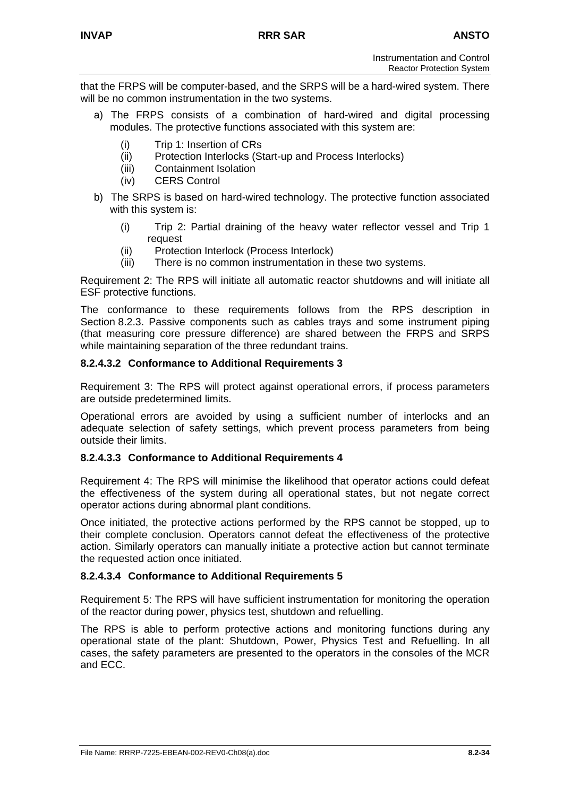that the FRPS will be computer-based, and the SRPS will be a hard-wired system. There will be no common instrumentation in the two systems.

- a) The FRPS consists of a combination of hard-wired and digital processing modules. The protective functions associated with this system are:
	- (i) Trip 1: Insertion of CRs
	- (ii) Protection Interlocks (Start-up and Process Interlocks)
	- (iii) Containment Isolation
	- (iv) CERS Control
- b) The SRPS is based on hard-wired technology. The protective function associated with this system is:
	- (i) Trip 2: Partial draining of the heavy water reflector vessel and Trip 1 request
	- (ii) Protection Interlock (Process Interlock)
	- (iii) There is no common instrumentation in these two systems.

Requirement 2: The RPS will initiate all automatic reactor shutdowns and will initiate all ESF protective functions.

The conformance to these requirements follows from the RPS description in Section 8.2.3. Passive components such as cables trays and some instrument piping (that measuring core pressure difference) are shared between the FRPS and SRPS while maintaining separation of the three redundant trains.

## **8.2.4.3.2 Conformance to Additional Requirements 3**

Requirement 3: The RPS will protect against operational errors, if process parameters are outside predetermined limits.

Operational errors are avoided by using a sufficient number of interlocks and an adequate selection of safety settings, which prevent process parameters from being outside their limits.

## **8.2.4.3.3 Conformance to Additional Requirements 4**

Requirement 4: The RPS will minimise the likelihood that operator actions could defeat the effectiveness of the system during all operational states, but not negate correct operator actions during abnormal plant conditions.

Once initiated, the protective actions performed by the RPS cannot be stopped, up to their complete conclusion. Operators cannot defeat the effectiveness of the protective action. Similarly operators can manually initiate a protective action but cannot terminate the requested action once initiated.

## **8.2.4.3.4 Conformance to Additional Requirements 5**

Requirement 5: The RPS will have sufficient instrumentation for monitoring the operation of the reactor during power, physics test, shutdown and refuelling.

The RPS is able to perform protective actions and monitoring functions during any operational state of the plant: Shutdown, Power, Physics Test and Refuelling. In all cases, the safety parameters are presented to the operators in the consoles of the MCR and ECC.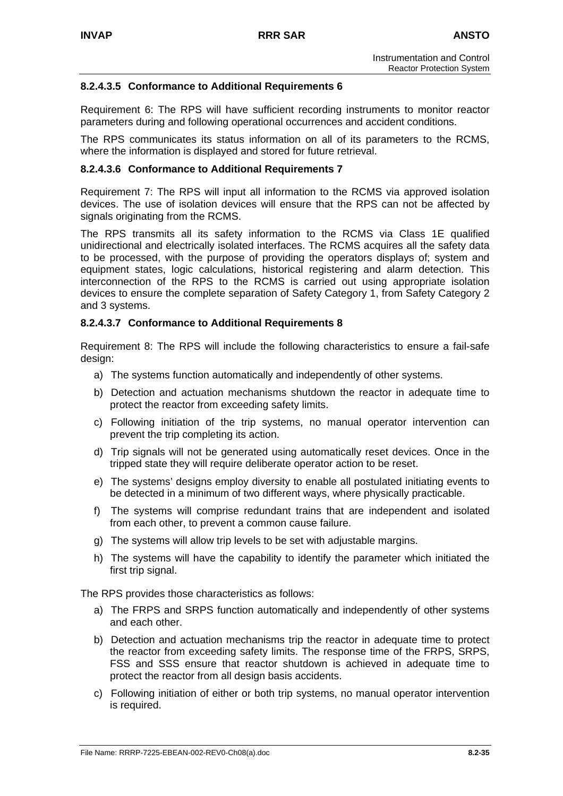## **8.2.4.3.5 Conformance to Additional Requirements 6**

Requirement 6: The RPS will have sufficient recording instruments to monitor reactor parameters during and following operational occurrences and accident conditions.

The RPS communicates its status information on all of its parameters to the RCMS, where the information is displayed and stored for future retrieval.

### **8.2.4.3.6 Conformance to Additional Requirements 7**

Requirement 7: The RPS will input all information to the RCMS via approved isolation devices. The use of isolation devices will ensure that the RPS can not be affected by signals originating from the RCMS.

The RPS transmits all its safety information to the RCMS via Class 1E qualified unidirectional and electrically isolated interfaces. The RCMS acquires all the safety data to be processed, with the purpose of providing the operators displays of; system and equipment states, logic calculations, historical registering and alarm detection. This interconnection of the RPS to the RCMS is carried out using appropriate isolation devices to ensure the complete separation of Safety Category 1, from Safety Category 2 and 3 systems.

#### **8.2.4.3.7 Conformance to Additional Requirements 8**

Requirement 8: The RPS will include the following characteristics to ensure a fail-safe design:

- a) The systems function automatically and independently of other systems.
- b) Detection and actuation mechanisms shutdown the reactor in adequate time to protect the reactor from exceeding safety limits.
- c) Following initiation of the trip systems, no manual operator intervention can prevent the trip completing its action.
- d) Trip signals will not be generated using automatically reset devices. Once in the tripped state they will require deliberate operator action to be reset.
- e) The systems' designs employ diversity to enable all postulated initiating events to be detected in a minimum of two different ways, where physically practicable.
- f) The systems will comprise redundant trains that are independent and isolated from each other, to prevent a common cause failure.
- g) The systems will allow trip levels to be set with adjustable margins.
- h) The systems will have the capability to identify the parameter which initiated the first trip signal.

The RPS provides those characteristics as follows:

- a) The FRPS and SRPS function automatically and independently of other systems and each other.
- b) Detection and actuation mechanisms trip the reactor in adequate time to protect the reactor from exceeding safety limits. The response time of the FRPS, SRPS, FSS and SSS ensure that reactor shutdown is achieved in adequate time to protect the reactor from all design basis accidents.
- c) Following initiation of either or both trip systems, no manual operator intervention is required.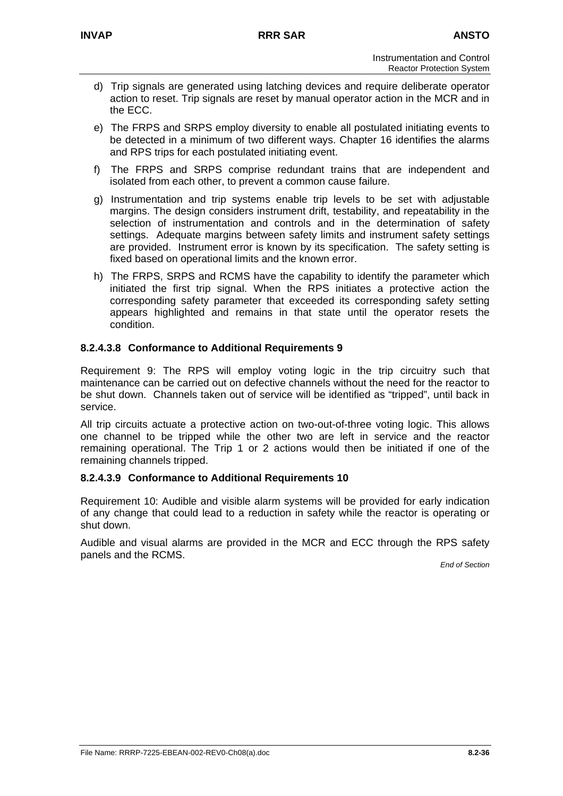- d) Trip signals are generated using latching devices and require deliberate operator action to reset. Trip signals are reset by manual operator action in the MCR and in the ECC.
- e) The FRPS and SRPS employ diversity to enable all postulated initiating events to be detected in a minimum of two different ways. Chapter 16 identifies the alarms and RPS trips for each postulated initiating event.
- f) The FRPS and SRPS comprise redundant trains that are independent and isolated from each other, to prevent a common cause failure.
- g) Instrumentation and trip systems enable trip levels to be set with adjustable margins. The design considers instrument drift, testability, and repeatability in the selection of instrumentation and controls and in the determination of safety settings. Adequate margins between safety limits and instrument safety settings are provided. Instrument error is known by its specification. The safety setting is fixed based on operational limits and the known error.
- h) The FRPS, SRPS and RCMS have the capability to identify the parameter which initiated the first trip signal. When the RPS initiates a protective action the corresponding safety parameter that exceeded its corresponding safety setting appears highlighted and remains in that state until the operator resets the condition.

## **8.2.4.3.8 Conformance to Additional Requirements 9**

Requirement 9: The RPS will employ voting logic in the trip circuitry such that maintenance can be carried out on defective channels without the need for the reactor to be shut down. Channels taken out of service will be identified as "tripped", until back in service.

All trip circuits actuate a protective action on two-out-of-three voting logic. This allows one channel to be tripped while the other two are left in service and the reactor remaining operational. The Trip 1 or 2 actions would then be initiated if one of the remaining channels tripped.

#### **8.2.4.3.9 Conformance to Additional Requirements 10**

Requirement 10: Audible and visible alarm systems will be provided for early indication of any change that could lead to a reduction in safety while the reactor is operating or shut down.

Audible and visual alarms are provided in the MCR and ECC through the RPS safety panels and the RCMS.

*End of Section*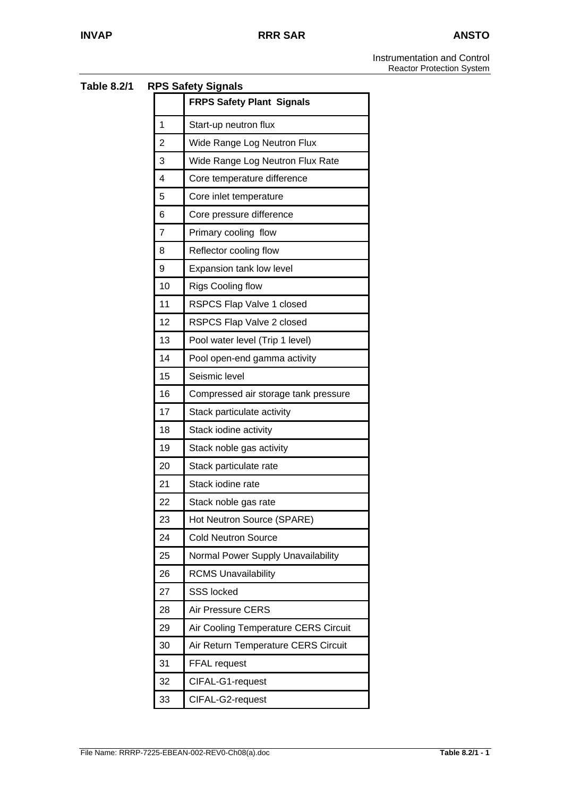Instrumentation and Control Reactor Protection System

| .2/1<br><b>RPS Safety Signals</b> |                |                                      |  |  |
|-----------------------------------|----------------|--------------------------------------|--|--|
|                                   |                | <b>FRPS Safety Plant Signals</b>     |  |  |
|                                   | 1              | Start-up neutron flux                |  |  |
|                                   | $\overline{2}$ | Wide Range Log Neutron Flux          |  |  |
|                                   | 3              | Wide Range Log Neutron Flux Rate     |  |  |
|                                   | 4              | Core temperature difference          |  |  |
|                                   | 5              | Core inlet temperature               |  |  |
|                                   | 6              | Core pressure difference             |  |  |
|                                   | 7              | Primary cooling flow                 |  |  |
|                                   | 8              | Reflector cooling flow               |  |  |
|                                   | 9              | Expansion tank low level             |  |  |
|                                   | 10             | <b>Rigs Cooling flow</b>             |  |  |
|                                   | 11             | RSPCS Flap Valve 1 closed            |  |  |
|                                   | 12             | RSPCS Flap Valve 2 closed            |  |  |
|                                   | 13             | Pool water level (Trip 1 level)      |  |  |
|                                   | 14             | Pool open-end gamma activity         |  |  |
|                                   | 15             | Seismic level                        |  |  |
|                                   | 16             | Compressed air storage tank pressure |  |  |
|                                   | 17             | Stack particulate activity           |  |  |
|                                   | 18             | Stack iodine activity                |  |  |
|                                   | 19             | Stack noble gas activity             |  |  |
|                                   | 20             | Stack particulate rate               |  |  |
|                                   | 21             | Stack iodine rate                    |  |  |
|                                   | 22             | Stack noble gas rate                 |  |  |
|                                   | 23             | Hot Neutron Source (SPARE)           |  |  |
|                                   | 24             | <b>Cold Neutron Source</b>           |  |  |
|                                   | 25             | Normal Power Supply Unavailability   |  |  |
|                                   | 26             | <b>RCMS Unavailability</b>           |  |  |
|                                   | 27             | <b>SSS locked</b>                    |  |  |
|                                   | 28             | <b>Air Pressure CERS</b>             |  |  |
|                                   | 29             | Air Cooling Temperature CERS Circuit |  |  |
|                                   | 30             | Air Return Temperature CERS Circuit  |  |  |
|                                   | 31             | FFAL request                         |  |  |
|                                   | 32             | CIFAL-G1-request                     |  |  |
|                                   | 33             | CIFAL-G2-request                     |  |  |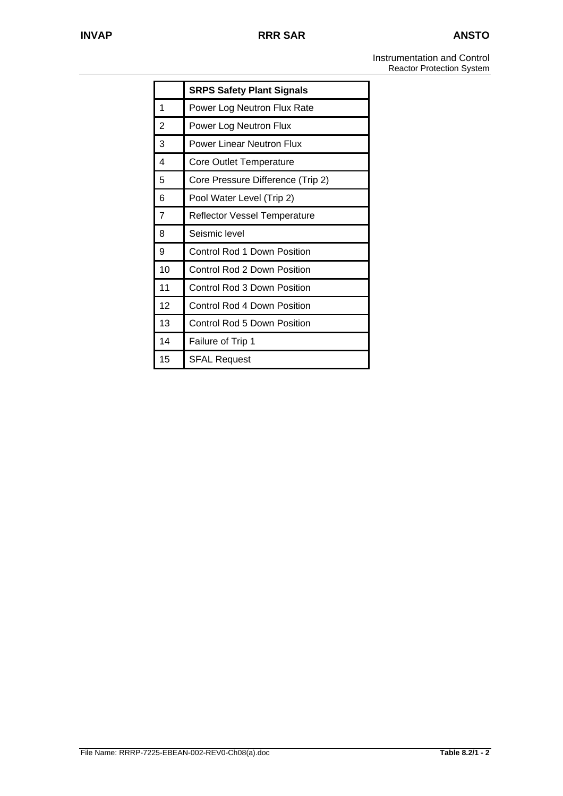Instrumentation and Control Reactor Protection System

|    | <b>SRPS Safety Plant Signals</b>   |
|----|------------------------------------|
| 1  | Power Log Neutron Flux Rate        |
| 2  | Power Log Neutron Flux             |
| 3  | <b>Power Linear Neutron Flux</b>   |
| 4  | <b>Core Outlet Temperature</b>     |
| 5  | Core Pressure Difference (Trip 2)  |
| 6  | Pool Water Level (Trip 2)          |
| 7  | Reflector Vessel Temperature       |
| 8  | Seismic level                      |
| 9  | Control Rod 1 Down Position        |
| 10 | <b>Control Rod 2 Down Position</b> |
| 11 | Control Rod 3 Down Position        |
| 12 | Control Rod 4 Down Position        |
| 13 | Control Rod 5 Down Position        |
| 14 | Failure of Trip 1                  |
| 15 | <b>SFAL Request</b>                |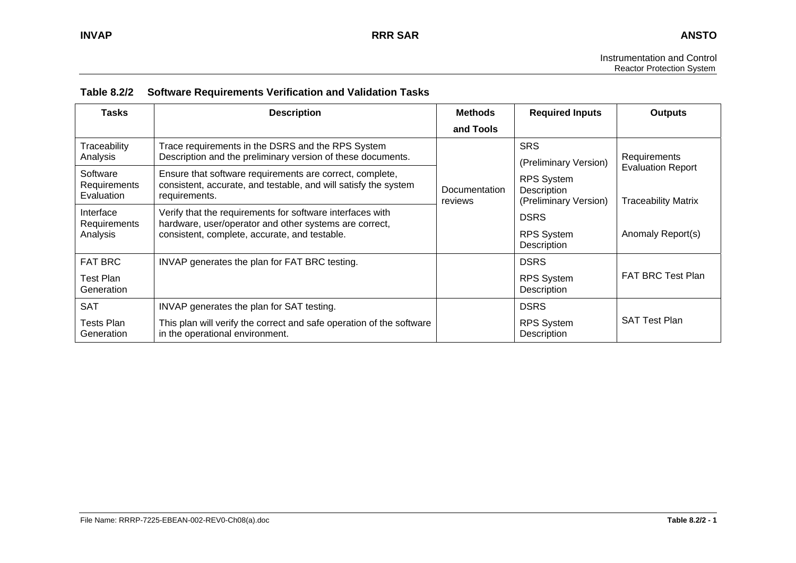|  | Table 8.2/2 Software Requirements Verification and Validation Tasks |  |  |
|--|---------------------------------------------------------------------|--|--|
|--|---------------------------------------------------------------------|--|--|

| <b>Tasks</b>                           | <b>Description</b>                                                                                                                           | <b>Methods</b>           | <b>Required Inputs</b>                                    | <b>Outputs</b>                           |
|----------------------------------------|----------------------------------------------------------------------------------------------------------------------------------------------|--------------------------|-----------------------------------------------------------|------------------------------------------|
|                                        |                                                                                                                                              | and Tools                |                                                           |                                          |
| Traceability                           | Trace requirements in the DSRS and the RPS System                                                                                            |                          | <b>SRS</b>                                                |                                          |
| Analysis                               | Description and the preliminary version of these documents.                                                                                  |                          | (Preliminary Version)                                     | Requirements<br><b>Evaluation Report</b> |
| Software<br>Requirements<br>Evaluation | Ensure that software requirements are correct, complete,<br>consistent, accurate, and testable, and will satisfy the system<br>requirements. | Documentation<br>reviews | <b>RPS System</b><br>Description<br>(Preliminary Version) | <b>Traceability Matrix</b>               |
| Interface<br>Requirements              | Verify that the requirements for software interfaces with<br>hardware, user/operator and other systems are correct,                          |                          | <b>DSRS</b>                                               |                                          |
| Analysis                               | consistent, complete, accurate, and testable.                                                                                                |                          | <b>RPS System</b><br>Description                          | Anomaly Report(s)                        |
| <b>FAT BRC</b>                         | INVAP generates the plan for FAT BRC testing.                                                                                                |                          | <b>DSRS</b>                                               |                                          |
| Test Plan<br>Generation                |                                                                                                                                              |                          | <b>RPS System</b><br>Description                          | FAT BRC Test Plan                        |
| <b>SAT</b>                             | INVAP generates the plan for SAT testing.                                                                                                    |                          | <b>DSRS</b>                                               |                                          |
| <b>Tests Plan</b><br>Generation        | This plan will verify the correct and safe operation of the software<br>in the operational environment.                                      |                          | <b>RPS System</b><br>Description                          | <b>SAT Test Plan</b>                     |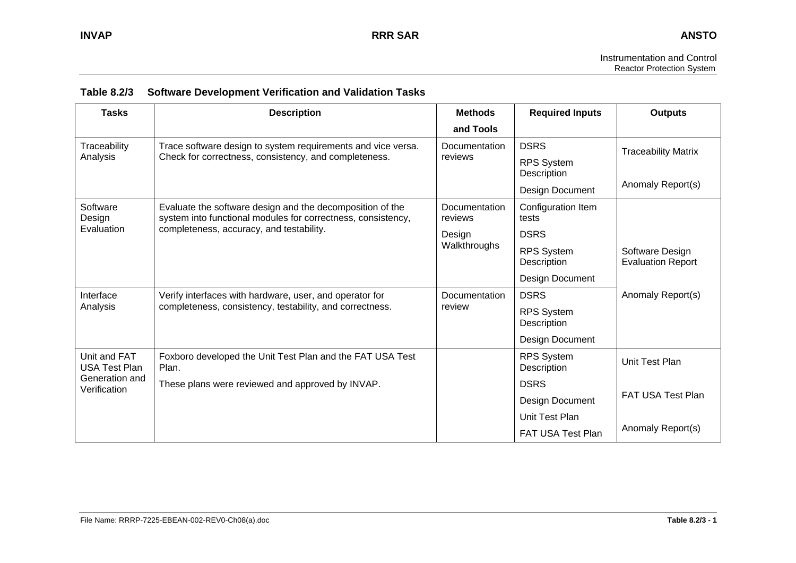| <b>Tasks</b>                         | <b>Description</b>                                                                                                        | <b>Methods</b>           | <b>Required Inputs</b>           | <b>Outputs</b>                              |
|--------------------------------------|---------------------------------------------------------------------------------------------------------------------------|--------------------------|----------------------------------|---------------------------------------------|
|                                      |                                                                                                                           | and Tools                |                                  |                                             |
| Traceability<br>Analysis             | Trace software design to system requirements and vice versa.<br>Check for correctness, consistency, and completeness.     | Documentation<br>reviews | <b>DSRS</b>                      | <b>Traceability Matrix</b>                  |
|                                      |                                                                                                                           |                          | <b>RPS System</b><br>Description |                                             |
|                                      |                                                                                                                           |                          | Design Document                  | Anomaly Report(s)                           |
| Software<br>Design                   | Evaluate the software design and the decomposition of the<br>system into functional modules for correctness, consistency, | Documentation<br>reviews | Configuration Item<br>tests      |                                             |
| Evaluation                           | completeness, accuracy, and testability.                                                                                  | Design<br>Walkthroughs   | <b>DSRS</b>                      |                                             |
|                                      |                                                                                                                           |                          | <b>RPS System</b><br>Description | Software Design<br><b>Evaluation Report</b> |
|                                      |                                                                                                                           |                          | Design Document                  |                                             |
| Interface                            | Verify interfaces with hardware, user, and operator for                                                                   | Documentation            | <b>DSRS</b>                      | Anomaly Report(s)                           |
| Analysis                             | completeness, consistency, testability, and correctness.                                                                  | review                   | <b>RPS System</b><br>Description |                                             |
|                                      |                                                                                                                           |                          | Design Document                  |                                             |
| Unit and FAT<br><b>USA Test Plan</b> | Foxboro developed the Unit Test Plan and the FAT USA Test<br>Plan.                                                        |                          | <b>RPS System</b><br>Description | Unit Test Plan                              |
| Generation and<br>Verification       | These plans were reviewed and approved by INVAP.                                                                          |                          | <b>DSRS</b>                      |                                             |
|                                      |                                                                                                                           |                          | Design Document                  | <b>FAT USA Test Plan</b>                    |
|                                      |                                                                                                                           |                          | Unit Test Plan                   |                                             |
|                                      |                                                                                                                           |                          | FAT USA Test Plan                | Anomaly Report(s)                           |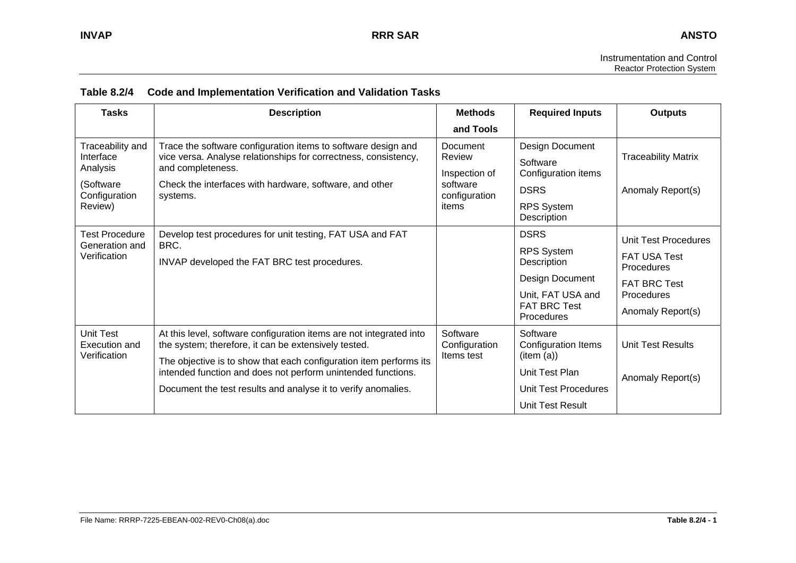| <b>Tasks</b>                                                                       | <b>Description</b>                                                                                                                                                                                                                                                                                                                 | <b>Methods</b>                                                                   | <b>Required Inputs</b>                                                                                                | <b>Outputs</b>                                                                                                      |
|------------------------------------------------------------------------------------|------------------------------------------------------------------------------------------------------------------------------------------------------------------------------------------------------------------------------------------------------------------------------------------------------------------------------------|----------------------------------------------------------------------------------|-----------------------------------------------------------------------------------------------------------------------|---------------------------------------------------------------------------------------------------------------------|
|                                                                                    |                                                                                                                                                                                                                                                                                                                                    | and Tools                                                                        |                                                                                                                       |                                                                                                                     |
| Traceability and<br>Interface<br>Analysis<br>(Software<br>Configuration<br>Review) | Trace the software configuration items to software design and<br>vice versa. Analyse relationships for correctness, consistency,<br>and completeness.<br>Check the interfaces with hardware, software, and other<br>systems.                                                                                                       | <b>Document</b><br>Review<br>Inspection of<br>software<br>configuration<br>items | Design Document<br>Software<br>Configuration items<br><b>DSRS</b><br><b>RPS System</b><br>Description                 | <b>Traceability Matrix</b><br>Anomaly Report(s)                                                                     |
| <b>Test Procedure</b><br>Generation and<br>Verification                            | Develop test procedures for unit testing, FAT USA and FAT<br>BRC.<br>INVAP developed the FAT BRC test procedures.                                                                                                                                                                                                                  |                                                                                  | <b>DSRS</b><br>RPS System<br>Description<br>Design Document<br>Unit, FAT USA and<br><b>FAT BRC Test</b><br>Procedures | Unit Test Procedures<br><b>FAT USA Test</b><br>Procedures<br><b>FAT BRC Test</b><br>Procedures<br>Anomaly Report(s) |
| Unit Test<br>Execution and<br>Verification                                         | At this level, software configuration items are not integrated into<br>the system; therefore, it can be extensively tested.<br>The objective is to show that each configuration item performs its<br>intended function and does not perform unintended functions.<br>Document the test results and analyse it to verify anomalies. | Software<br>Configuration<br>Items test                                          | Software<br>Configuration Items<br>(item (a))<br>Unit Test Plan<br>Unit Test Procedures<br>Unit Test Result           | <b>Unit Test Results</b><br>Anomaly Report(s)                                                                       |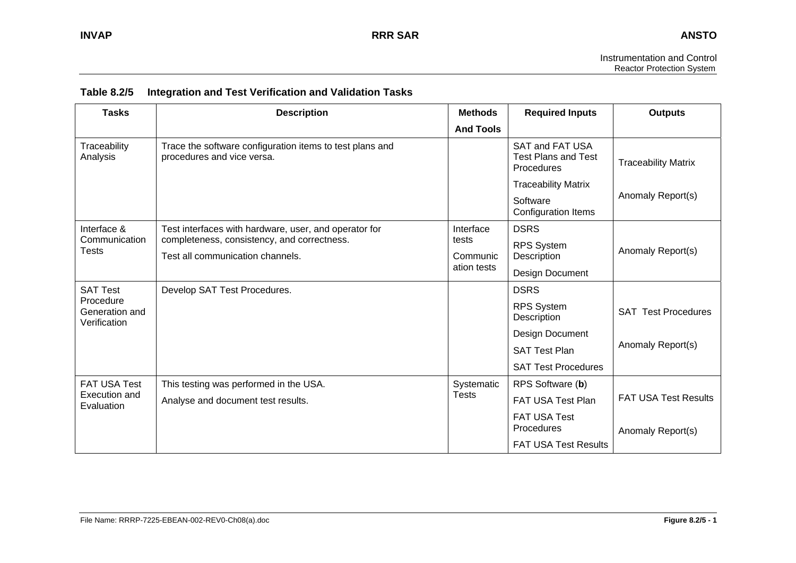| <b>Tasks</b>                                | <b>Description</b>                                                                     | <b>Methods</b>    | <b>Required Inputs</b>                                      | <b>Outputs</b>              |
|---------------------------------------------|----------------------------------------------------------------------------------------|-------------------|-------------------------------------------------------------|-----------------------------|
|                                             |                                                                                        | <b>And Tools</b>  |                                                             |                             |
| Traceability<br>Analysis                    | Trace the software configuration items to test plans and<br>procedures and vice versa. |                   | SAT and FAT USA<br><b>Test Plans and Test</b><br>Procedures | <b>Traceability Matrix</b>  |
|                                             |                                                                                        |                   | <b>Traceability Matrix</b>                                  |                             |
|                                             |                                                                                        |                   | Software<br>Configuration Items                             | Anomaly Report(s)           |
| Interface &                                 | Test interfaces with hardware, user, and operator for                                  | Interface         | <b>DSRS</b>                                                 |                             |
| Communication<br>Tests                      | completeness, consistency, and correctness.<br>Test all communication channels.        | tests<br>Communic | <b>RPS System</b><br>Description                            | Anomaly Report(s)           |
|                                             |                                                                                        | ation tests       | Design Document                                             |                             |
| <b>SAT Test</b>                             | Develop SAT Test Procedures.                                                           |                   | <b>DSRS</b>                                                 |                             |
| Procedure<br>Generation and<br>Verification |                                                                                        |                   | <b>RPS System</b><br>Description                            | <b>SAT Test Procedures</b>  |
|                                             |                                                                                        |                   | Design Document                                             |                             |
|                                             |                                                                                        |                   | <b>SAT Test Plan</b>                                        | Anomaly Report(s)           |
|                                             |                                                                                        |                   | <b>SAT Test Procedures</b>                                  |                             |
| <b>FAT USA Test</b>                         | This testing was performed in the USA.                                                 | Systematic        | RPS Software (b)                                            |                             |
| <b>Execution and</b><br>Evaluation          | Analyse and document test results.                                                     | <b>Tests</b>      | FAT USA Test Plan                                           | <b>FAT USA Test Results</b> |
|                                             |                                                                                        |                   | <b>FAT USA Test</b><br>Procedures                           | Anomaly Report(s)           |
|                                             |                                                                                        |                   | <b>FAT USA Test Results</b>                                 |                             |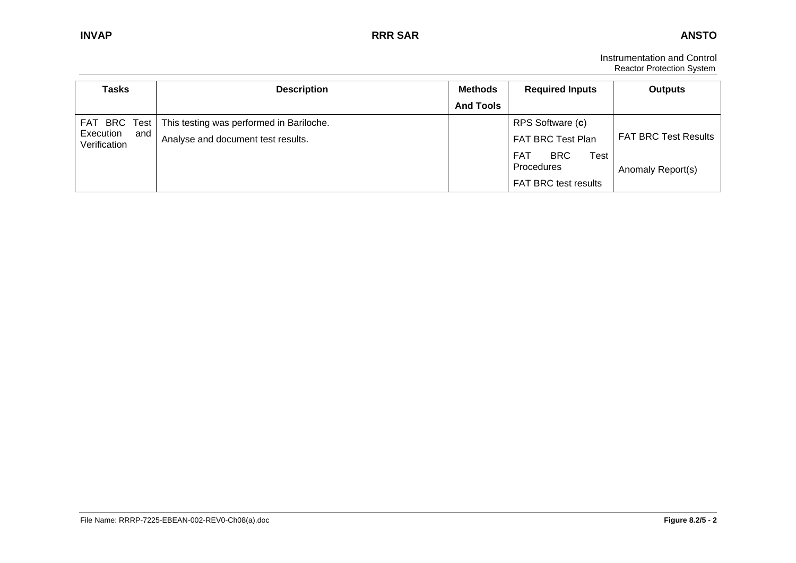Instrumentation and Control Reactor Protection System

| <b>Tasks</b>                     | <b>Description</b>                       | <b>Methods</b>   | <b>Required Inputs</b>                                       | <b>Outputs</b>              |
|----------------------------------|------------------------------------------|------------------|--------------------------------------------------------------|-----------------------------|
|                                  |                                          | <b>And Tools</b> |                                                              |                             |
| FAT BRC Test                     | This testing was performed in Bariloche. |                  | RPS Software (c)                                             |                             |
| Execution<br>and<br>Verification | Analyse and document test results.       |                  | FAT BRC Test Plan                                            | <b>FAT BRC Test Results</b> |
|                                  |                                          |                  | <b>BRC</b><br><b>Test</b><br><b>FAT</b><br><b>Procedures</b> | Anomaly Report(s)           |
|                                  |                                          |                  | <b>FAT BRC test results</b>                                  |                             |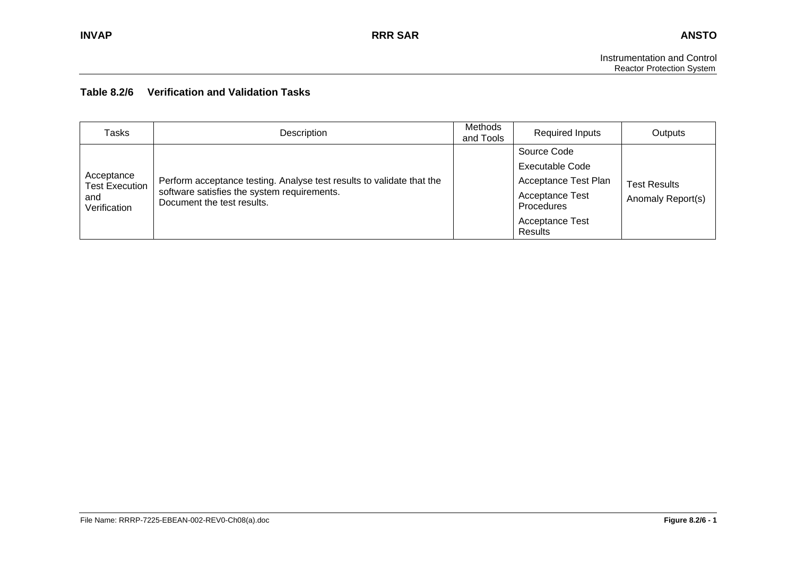#### **Table 8.2/6 Verification and Validation Tasks**

| <b>Tasks</b>                                               | Description                                                                                                                                        | Methods<br>and Tools | <b>Required Inputs</b>               | Outputs             |
|------------------------------------------------------------|----------------------------------------------------------------------------------------------------------------------------------------------------|----------------------|--------------------------------------|---------------------|
| Acceptance<br><b>Test Execution</b><br>and<br>Verification | Perform acceptance testing. Analyse test results to validate that the<br>software satisfies the system requirements.<br>Document the test results. |                      | Source Code                          | <b>Test Results</b> |
|                                                            |                                                                                                                                                    |                      | Executable Code                      |                     |
|                                                            |                                                                                                                                                    |                      | Acceptance Test Plan                 |                     |
|                                                            |                                                                                                                                                    |                      | Acceptance Test<br><b>Procedures</b> | Anomaly Report(s)   |
|                                                            |                                                                                                                                                    |                      | <b>Acceptance Test</b><br>Results    |                     |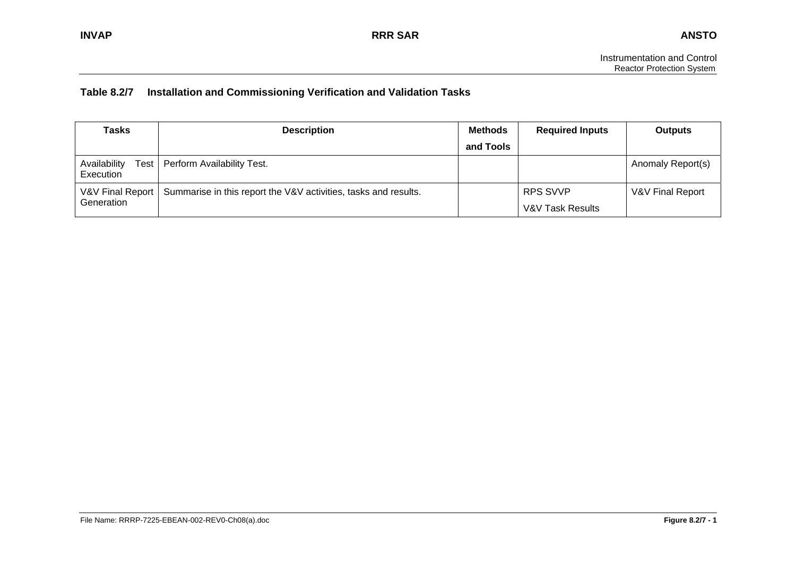#### **Table 8.2/7 Installation and Commissioning Verification and Validation Tasks**

| <b>Tasks</b>                      | <b>Description</b>                                              | Methods   | <b>Required Inputs</b> | <b>Outputs</b>    |
|-----------------------------------|-----------------------------------------------------------------|-----------|------------------------|-------------------|
|                                   |                                                                 | and Tools |                        |                   |
| Availability<br>Test<br>Execution | Perform Availability Test.                                      |           |                        | Anomaly Report(s) |
| V&V Final Report                  | Summarise in this report the V&V activities, tasks and results. |           | <b>RPS SVVP</b>        | V&V Final Report  |
| Generation                        |                                                                 |           | V&V Task Results       |                   |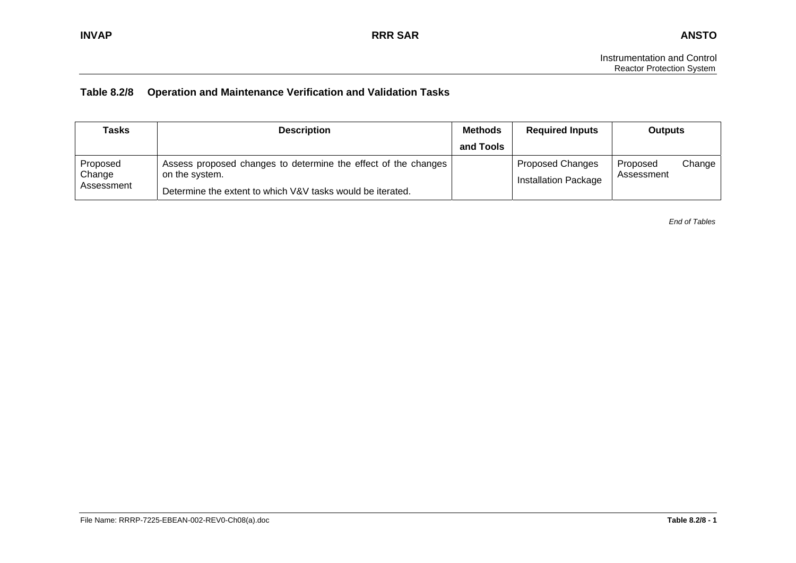#### **Table 8.2/8Operation and Maintenance Verification and Validation Tasks**

| Tasks                            | <b>Description</b>                                                                                                                             | <b>Methods</b> | <b>Required Inputs</b>                                 | <b>Outputs</b>         |        |
|----------------------------------|------------------------------------------------------------------------------------------------------------------------------------------------|----------------|--------------------------------------------------------|------------------------|--------|
|                                  |                                                                                                                                                | and Tools      |                                                        |                        |        |
| Proposed<br>Change<br>Assessment | Assess proposed changes to determine the effect of the changes<br>on the system.<br>Determine the extent to which V&V tasks would be iterated. |                | <b>Proposed Changes</b><br><b>Installation Package</b> | Proposed<br>Assessment | Change |

*End of Tables*